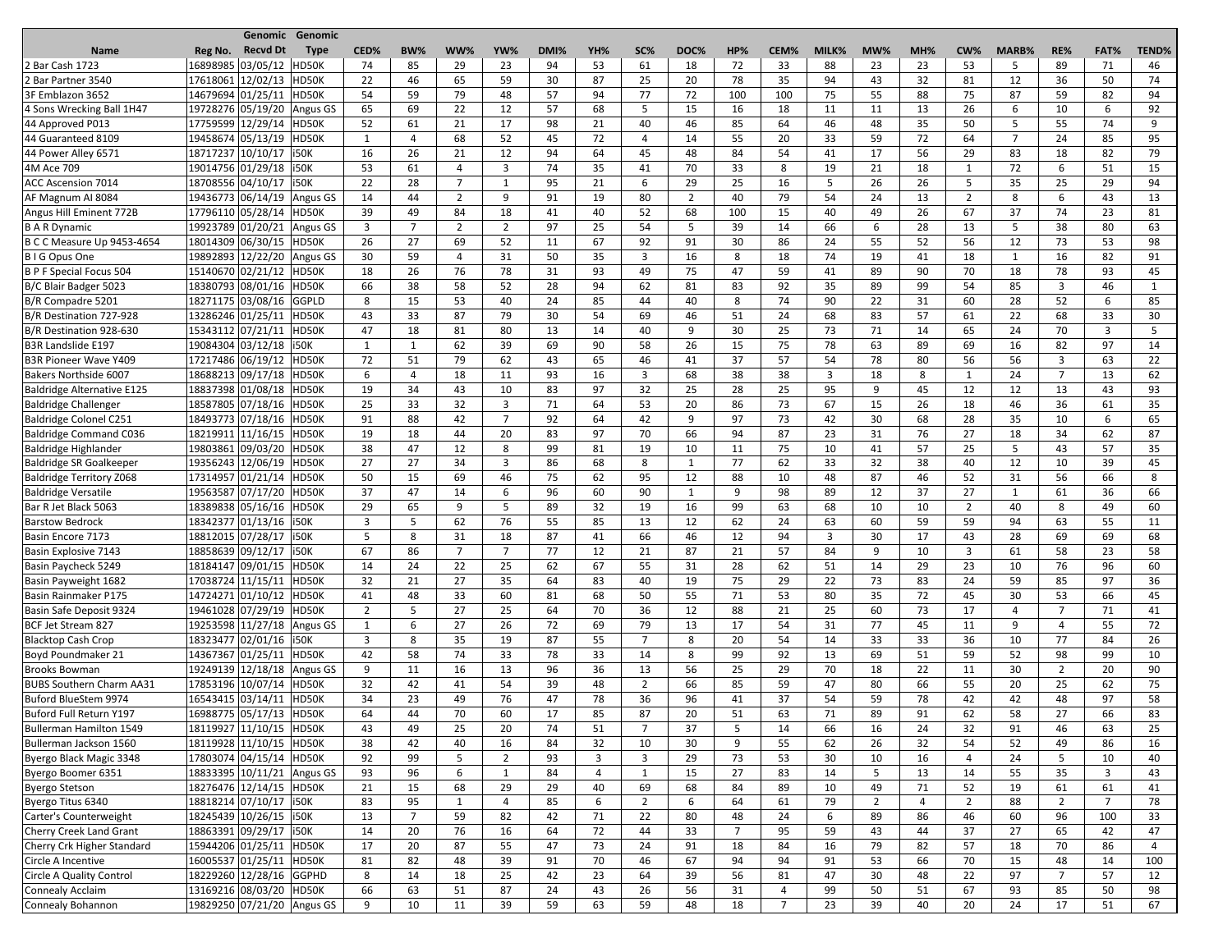|                                   |                            | <b>Genomic Genomic</b> |                |                |                |                |      |                |                |                      |                |                |       |                |     |                |                |                |                |              |
|-----------------------------------|----------------------------|------------------------|----------------|----------------|----------------|----------------|------|----------------|----------------|----------------------|----------------|----------------|-------|----------------|-----|----------------|----------------|----------------|----------------|--------------|
| <b>Name</b>                       | <b>Recvd Dt</b><br>Reg No. | <b>Type</b>            | CED%           | <b>BW%</b>     | WW%            | YW%            | DMI% | YH%            | SC%            | DOC%                 | HP%            | CEM%           | MILK% | MW%            | MH% | CW%            | <b>MARB%</b>   | RE%            | FAT%           | <b>TEND%</b> |
| 2 Bar Cash 1723                   | 16898985 03/05/12          | HD50K                  | 74             | 85             | 29             | 23             | 94   | 53             | 61             | 18                   | 72             | 33             | 88    | 23             | 23  | 53             | 5              | 89             | 71             | 46           |
| 2 Bar Partner 3540                | 17618061 12/02/13          | HD50K                  | 22             | 46             | 65             | 59             | 30   | 87             | 25             | 20                   | 78             | 35             | 94    | 43             | 32  | 81             | 12             | 36             | 50             | 74           |
| 3F Emblazon 3652                  | 14679694 01/25/11          | HD50K                  | 54             | 59             | 79             | 48             | 57   | 94             | 77             | 72                   | 100            | 100            | 75    | 55             | 88  | 75             | 87             | 59             | 82             | 94           |
| 4 Sons Wrecking Ball 1H47         | 19728276 05/19/20 Angus GS |                        | 65             | 69             | 22             | 12             | 57   | 68             | 5              | 15                   | 16             | 18             | 11    | 11             | 13  | 26             | 6              | 10             | 6              | 92           |
| 44 Approved P013                  | 17759599 12/29/14          | HD50K                  | 52             | 61             | 21             | 17             | 98   | 21             | 40             | 46                   | 85             | 64             | 46    | 48             | 35  | 50             | 5              | 55             | 74             | 9            |
| 44 Guaranteed 8109                | 19458674 05/13/19          | HD50K                  | -1             | 4              | 68             | 52             | 45   | 72             | 4              | 14                   | 55             | 20             | 33    | 59             | 72  | 64             | $\overline{7}$ | 24             | 85             | 95           |
| 44 Power Alley 6571               | 18717237 10/10/17   i50K   |                        | 16             | 26             | 21             | 12             | 94   | 64             | 45             | 48                   | 84             | 54             | 41    | 17             | 56  | 29             | 83             | 18             | 82             | 79           |
| 4M Ace 709                        | 19014756 01/29/18   i50K   |                        | 53             | 61             | 4              | 3              | 74   | 35             | 41             | 70                   | 33             | 8              | 19    | 21             | 18  | 1              | 72             | 6              | 51             | 15           |
| <b>ACC Ascension 7014</b>         | 18708556 04/10/17   i50K   |                        | 22             | 28             | $\overline{7}$ | 1              | 95   | 21             | 6              | 29                   | 25             | 16             | 5     | 26             | 26  | 5              | 35             | 25             | 29             | 94           |
| AF Magnum AI 8084                 | 19436773 06/14/19          | Angus GS               | 14             | 44             | $\overline{2}$ | 9              | 91   | 19             | 80             | $\overline{2}$       | 40             | 79             | 54    | 24             | 13  | $\overline{2}$ | 8              | 6              | 43             | 13           |
| Angus Hill Eminent 772B           | 17796110 05/28/14          | HD50K                  | 39             | 49             | 84             | 18             | 41   | 40             | 52             | 68                   | 100            | 15             | 40    | 49             | 26  | 67             | 37             | 74             | 23             | 81           |
| B A R Dynamic                     | 19923789 01/20/21          | Angus GS               | 3              | 7              | $\overline{2}$ | $\overline{2}$ | 97   | 25             | 54             | -5                   | 39             | 14             | 66    | 6              | 28  | 13             | 5              | 38             | 80             | 63           |
| B C C Measure Up 9453-4654        | 18014309 06/30/15          | HD50K                  | 26             | 27             | 69             | 52             | 11   | 67             | 92             | 91                   | 30             | 86             | 24    | 55             | 52  | 56             | 12             | 73             | 53             | 98           |
| B I G Opus One                    | 19892893 12/22/20 Angus GS |                        | 30             | 59             | 4              | 31             | 50   | 35             | $\overline{3}$ | 16                   | 8              | 18             | 74    | 19             | 41  | 18             | $\mathbf{1}$   | 16             | 82             | 91           |
| B P F Special Focus 504           | 15140670 02/21/12 HD50K    |                        | 18             | 26             | 76             | 78             | 31   | 93             | 49             | 75                   | 47             | 59             | 41    | 89             | 90  | 70             | 18             | 78             | 93             | 45           |
| B/C Blair Badger 5023             | 18380793 08/01/16 HD50K    |                        | 66             | 38             | 58             | 52             | 28   | 94             | 62             | 81                   | 83             | 92             | 35    | 89             | 99  | 54             | 85             | 3              | 46             | 1            |
| B/R Compadre 5201                 | 18271175 03/08/16 GGPLD    |                        | 8              | 15             | 53             | 40             | 24   | 85             | 44             | 40                   | 8              | 74             | 90    | 22             | 31  | 60             | 28             | 52             | 6              | 85           |
| B/R Destination 727-928           | 13286246 01/25/11          | HD50K                  | 43             | 33             | 87             | 79             | 30   | 54             | 69             | 46                   | 51             | 24             | 68    | 83             | 57  | 61             | 22             | 68             | 33             | 30           |
| B/R Destination 928-630           | 15343112 07/21/11          | HD50K                  | 47             | 18             | 81             | 80             | 13   | 14             | 40             | 9                    | 30             | 25             | 73    | 71             | 14  | 65             | 24             | 70             | $\overline{3}$ | 5            |
| <b>B3R Landslide E197</b>         | 19084304 03/12/18   i50K   |                        | -1             | -1             | 62             | 39             | 69   | 90             | 58             | 26                   | 15             | 75             | 78    | 63             | 89  | 69             | 16             | 82             | 97             | 14           |
| <b>B3R Pioneer Wave Y409</b>      | 17217486 06/19/12          | HD50K                  | 72             | 51             | 79             | 62             | 43   | 65             | 46             | 41                   | 37             | 57             | 54    | 78             | 80  | 56             | 56             | 3              | 63             | 22           |
| Bakers Northside 6007             | 18688213 09/17/18          | HD50K                  | 6              | $\overline{a}$ | 18             | 11             | 93   | 16             | 3              | 68                   | 38             | 38             | 3     | 18             | 8   | 1              | 24             | $\overline{7}$ | 13             | 62           |
| <b>Baldridge Alternative E125</b> | 18837398 01/08/18          | HD50K                  | 19             | 34             | 43             | 10             | 83   | 97             | 32             | 25                   | 28             | 25             | 95    | 9              | 45  | 12             | 12             | 13             | 43             | 93           |
|                                   | 18587805 07/18/16          | HD50K                  | 25             | 33             | 32             | 3              | 71   | 64             | 53             | 20                   | 86             | 73             | 67    | 15             | 26  | 18             | 46             | 36             | 61             | 35           |
| <b>Baldridge Challenger</b>       | 18493773 07/18/16          | HD50K                  |                | 88             | 42             | 7              | 92   | 64             |                | 9                    | 97             | 73             | 42    | 30             | 68  | 28             | 35             |                | 6              | 65           |
| <b>Baldridge Colonel C251</b>     | 18219911 11/16/15          | HD50K                  | 91             |                |                |                |      |                | 42             |                      | 94             |                |       |                |     |                |                | 10             | 62             |              |
| <b>Baldridge Command C036</b>     |                            |                        | 19             | 18             | 44             | 20             | 83   | 97             | 70             | 66                   |                | 87             | 23    | 31             | 76  | 27             | 18             | 34             |                | 87           |
| <b>Baldridge Highlander</b>       | 19803861 09/03/20          | HD50K                  | 38             | 47             | 12             | -8             | 99   | 81             | 19             | 10                   | 11             | 75             | 10    | 41             | 57  | 25             | 5              | 43             | 57             | 35           |
| <b>Baldridge SR Goalkeeper</b>    | 19356243 12/06/19          | HD50K                  | 27             | 27             | 34             | 3              | 86   | 68             | 8              |                      | 77             | 62             | 33    | 32             | 38  | 40             | 12             | 10             | 39             | 45           |
| <b>Baldridge Territory Z068</b>   | 17314957 01/21/14 HD50K    |                        | 50             | 15             | 69             | 46             | 75   | 62             | 95             | 12<br>$\overline{ }$ | 88             | 10             | 48    | 87             | 46  | 52             | 31             | 56             | 66             | 8            |
| <b>Baldridge Versatile</b>        | 19563587 07/17/20 HD50K    |                        | 37             | 47             | 14             | 6              | 96   | 60             | 90             |                      | 9              | 98             | 89    | 12             | 37  | 27             |                | 61             | 36             | 66           |
| Bar R Jet Black 5063              | 18389838 05/16/16 HD50K    |                        | 29             | 65             | 9              | 5              | 89   | 32             | 19             | 16                   | 99             | 63             | 68    | 10             | 10  | $\overline{2}$ | 40             | 8              | 49             | 60           |
| <b>Barstow Bedrock</b>            | 18342377 01/13/16   i50K   |                        | 3              | 5              | 62             | 76             | 55   | 85             | 13             | 12                   | 62             | 24             | 63    | 60             | 59  | 59             | 94             | 63             | 55             | 11           |
| Basin Encore 7173                 | 18812015 07/28/17   i50K   |                        | 5              | 8              | 31             | 18             | 87   | 41             | 66             | 46                   | 12             | 94             | 3     | 30             | 17  | 43             | 28             | 69             | 69             | 68           |
| Basin Explosive 7143              | 18858639 09/12/17   i50K   |                        | 67             | 86             | $\overline{7}$ | $\overline{7}$ | 77   | 12             | 21             | 87                   | 21             | 57             | 84    | 9              | 10  | 3              | 61             | 58             | 23             | 58           |
| Basin Paycheck 5249               | 18184147 09/01/15 HD50K    |                        | 14             | 24             | 22             | 25             | 62   | 67             | 55             | 31                   | 28             | 62             | 51    | 14             | 29  | 23             | 10             | 76             | 96             | 60           |
| Basin Payweight 1682              | 17038724 11/15/11 HD50K    |                        | 32             | 21             | 27             | 35             | 64   | 83             | 40             | 19                   | 75             | 29             | 22    | 73             | 83  | 24             | 59             | 85             | 97             | 36           |
| Basin Rainmaker P175              | 14724271 01/10/12 HD50K    |                        | 41             | 48             | 33             | 60             | 81   | 68             | 50             | 55                   | 71             | 53             | 80    | 35             | 72  | 45             | 30             | 53             | 66             | 45           |
| Basin Safe Deposit 9324           | 19461028 07/29/19 HD50K    |                        | $\overline{2}$ | -5             | 27             | 25             | 64   | 70             | 36             | 12                   | 88             | 21             | 25    | 60             | 73  | 17             | 4              | 7              | 71             | 41           |
| BCF Jet Stream 827                | 19253598 11/27/18 Angus GS |                        | 1              | 6              | 27             | 26             | 72   | 69             | 79             | 13                   | 17             | 54             | 31    | 77             | 45  | 11             | 9              | 4              | 55             | 72           |
| <b>Blacktop Cash Crop</b>         | 18323477 02/01/16   i50K   |                        | 3              | 8              | 35             | 19             | 87   | 55             | 7              | 8                    | 20             | 54             | 14    | 33             | 33  | 36             | 10             | 77             | 84             | 26           |
| Boyd Poundmaker 21                | 14367367 01/25/11 HD50K    |                        | 42             | 58             | 74             | 33             | 78   | 33             | 14             | 8                    | 99             | 92             | 13    | 69             | 51  | 59             | 52             | 98             | 99             | 10           |
| <b>Brooks Bowman</b>              | 19249139 12/18/18 Angus GS |                        | 9              | 11             | 16             | 13             | 96   | 36             | 13             | 56                   | 25             | 29             | 70    | 18             | 22  | 11             | 30             | $\overline{2}$ | 20             | 90           |
| <b>BUBS Southern Charm AA31</b>   | 17853196 10/07/14 HD50K    |                        | 32             | 42             | 41             | 54             | 39   | 48             | $\overline{2}$ | 66                   | 85             | 59             | 47    | 80             | 66  | 55             | 20             | 25             | 62             | 75           |
| Buford BlueStem 9974              | 16543415 03/14/11          | HD50K                  | 34             | 23             | 49             | 76             | 47   | 78             | 36             | 96                   | 41             | 37             | 54    | 59             | 78  | 42             | 42             | 48             | 97             | 58           |
| Buford Full Return Y197           | 16988775 05/17/13 HD50K    |                        | 64             | 44             | 70             | 60             | 17   | 85             | 87             | 20                   | 51             | 63             | 71    | 89             | 91  | 62             | 58             | 27             | 66             | 83           |
| <b>Bullerman Hamilton 1549</b>    | 18119927 11/10/15          | HD50K                  | 43             | 49             | 25             | 20             | 74   | 51             | $\overline{7}$ | 37                   | 5              | 14             | 66    | 16             | 24  | 32             | 91             | 46             | 63             | 25           |
| Bullerman Jackson 1560            | 18119928 11/10/15 HD50K    |                        | 38             | 42             | 40             | 16             | 84   | 32             | 10             | 30                   | 9              | 55             | 62    | 26             | 32  | 54             | 52             | 49             | 86             | 16           |
| Byergo Black Magic 3348           | 17803074 04/15/14 HD50K    |                        | 92             | 99             | 5              | $\overline{2}$ | 93   | 3              | 3              | 29                   | 73             | 53             | 30    | 10             | 16  | 4              | 24             | 5              | 10             | 40           |
| Byergo Boomer 6351                | 18833395 10/11/21          | Angus GS               | 93             | 96             | 6              | 1              | 84   | $\overline{4}$ | 1              | 15                   | 27             | 83             | 14    | 5              | 13  | 14             | 55             | 35             | 3              | 43           |
| <b>Byergo Stetson</b>             | 18276476 12/14/15 HD50K    |                        | 21             | 15             | 68             | 29             | 29   | 40             | 69             | 68                   | 84             | 89             | 10    | 49             | 71  | 52             | 19             | 61             | 61             | 41           |
| Byergo Titus 6340                 | 18818214 07/10/17   i50K   |                        | 83             | 95             | $\mathbf 1$    | 4              | 85   | 6              | $\overline{2}$ | 6                    | 64             | 61             | 79    | $\overline{2}$ | 4   | $\overline{2}$ | 88             | $\overline{2}$ | $\overline{7}$ | 78           |
| Carter's Counterweight            | 18245439 10/26/15   i50K   |                        | 13             | $\overline{7}$ | 59             | 82             | 42   | 71             | 22             | 80                   | 48             | 24             | 6     | 89             | 86  | 46             | 60             | 96             | 100            | 33           |
| <b>Cherry Creek Land Grant</b>    | 18863391 09/29/17   i50K   |                        | 14             | 20             | 76             | 16             | 64   | 72             | 44             | 33                   | $\overline{7}$ | 95             | 59    | 43             | 44  | 37             | 27             | 65             | 42             | 47           |
| Cherry Crk Higher Standard        | 15944206 01/25/11          | HD50K                  | 17             | 20             | 87             | 55             | 47   | 73             | 24             | 91                   | 18             | 84             | 16    | 79             | 82  | 57             | 18             | 70             | 86             | 4            |
| Circle A Incentive                | 16005537 01/25/11 HD50K    |                        | 81             | 82             | 48             | 39             | 91   | 70             | 46             | 67                   | 94             | 94             | 91    | 53             | 66  | 70             | 15             | 48             | 14             | 100          |
| <b>Circle A Quality Control</b>   | 18229260 12/28/16 GGPHD    |                        | 8              | 14             | 18             | 25             | 42   | 23             | 64             | 39                   | 56             | 81             | 47    | 30             | 48  | 22             | 97             | 7              | 57             | 12           |
| <b>Connealy Acclaim</b>           | 13169216 08/03/20 HD50K    |                        | 66             | 63             | 51             | 87             | 24   | 43             | 26             | 56                   | 31             | 4              | 99    | 50             | 51  | 67             | 93             | 85             | 50             | 98           |
| Connealy Bohannon                 | 19829250 07/21/20 Angus GS |                        | 9              | 10             | 11             | 39             | 59   | 63             | 59             | 48                   | 18             | $\overline{7}$ | 23    | 39             | 40  | 20             | 24             | 17             | 51             | 67           |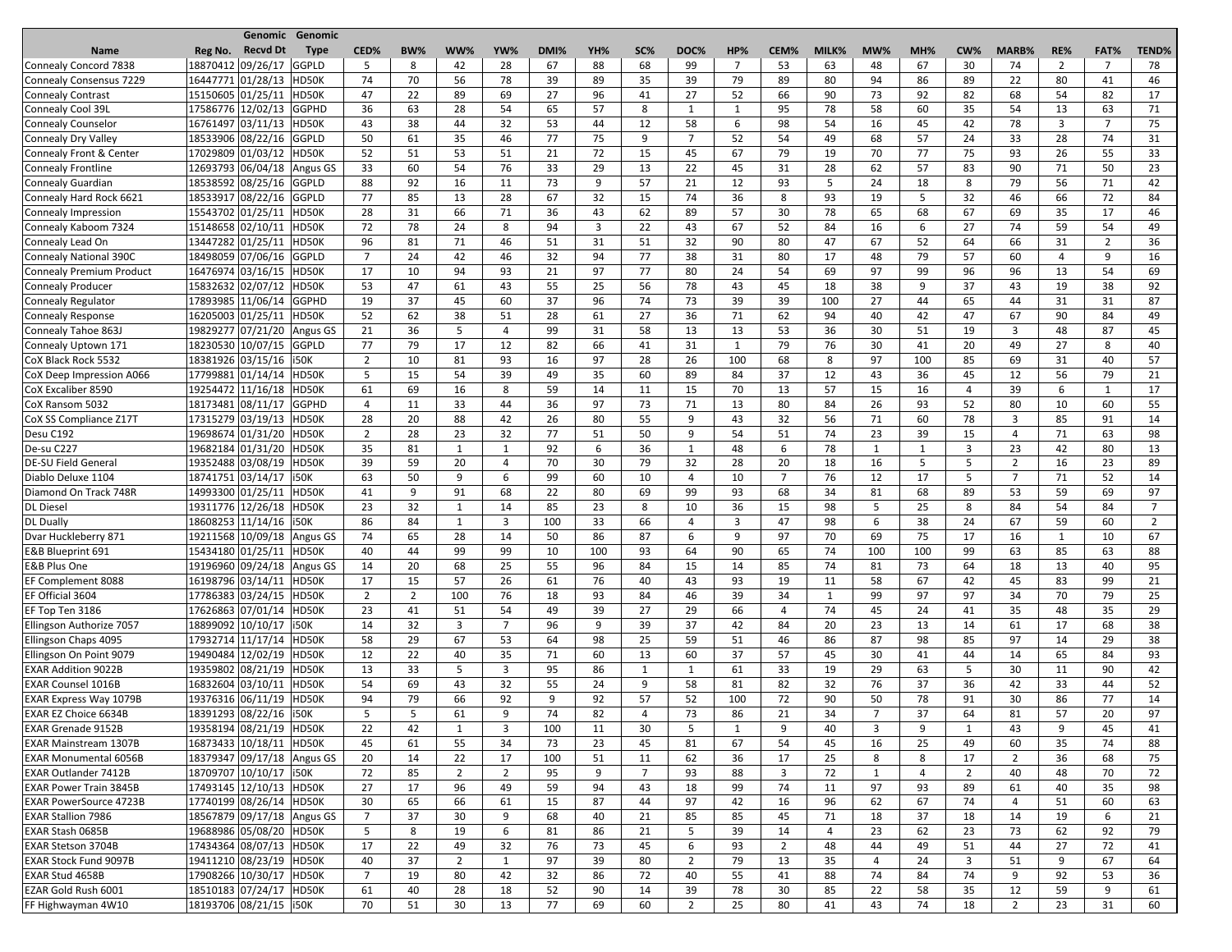|                               |                   | Genomic Genomic                   |                |                |                |                |      |     |                |                |                |                |       |                |     |                |                |                |                |                |
|-------------------------------|-------------------|-----------------------------------|----------------|----------------|----------------|----------------|------|-----|----------------|----------------|----------------|----------------|-------|----------------|-----|----------------|----------------|----------------|----------------|----------------|
| <b>Name</b>                   | Reg No.           | <b>Recvd Dt</b><br><b>Type</b>    | CED%           | BW%            | WW%            | YW%            | DMI% | YH% | SC%            | DOC%           | HP%            | CEM%           | MILK% | MW%            | MH% | CW%            | MARB%          | RE%            | FAT%           | <b>TEND%</b>   |
| Connealy Concord 7838         | 18870412 09/26/17 | GGPLD                             | 5              | 8              | 42             | 28             | 67   | 88  | 68             | 99             | $\overline{7}$ | 53             | 63    | 48             | 67  | 30             | 74             | $\overline{2}$ | $\overline{7}$ | 78             |
| Connealy Consensus 7229       | 16447771 01/28/13 | HD50K                             | 74             | 70             | 56             | 78             | 39   | 89  | 35             | 39             | 79             | 89             | 80    | 94             | 86  | 89             | 22             | 80             | 41             | 46             |
| Connealy Contrast             | 15150605 01/25/11 | HD50K                             | 47             | 22             | 89             | 69             | 27   | 96  | 41             | 27             | 52             | 66             | 90    | 73             | 92  | 82             | 68             | 54             | 82             | 17             |
| Connealy Cool 39L             |                   | 17586776 12/02/13 GGPHD           | 36             | 63             | 28             | 54             | 65   | 57  | 8              | $\mathbf{1}$   | $\mathbf{1}$   | 95             | 78    | 58             | 60  | 35             | 54             | 13             | 63             | 71             |
| Connealy Counselor            |                   | 16761497 03/11/13 HD50K           | 43             | 38             | 44             | 32             | 53   | 44  | 12             | 58             | 6              | 98             | 54    | 16             | 45  | 42             | 78             | 3              | 7              | 75             |
| Connealy Dry Valley           |                   | 18533906 08/22/16<br>GGPLD        | 50             | 61             | 35             | 46             | 77   | 75  | 9              | $\overline{7}$ | 52             | 54             | 49    | 68             | 57  | 24             | 33             | 28             | 74             | 31             |
| Connealy Front & Center       |                   | 17029809 01/03/12 HD50K           | 52             | 51             | 53             | 51             | 21   | 72  | 15             | 45             | 67             | 79             | 19    | 70             | 77  | 75             | 93             | 26             | 55             | 33             |
| Connealy Frontline            |                   | 12693793 06/04/18 Angus GS        | 33             | 60             | 54             | 76             | 33   | 29  | 13             | 22             | 45             | 31             | 28    | 62             | 57  | 83             | 90             | 71             | 50             | 23             |
| <b>Connealy Guardian</b>      |                   | 18538592 08/25/16 GGPLD           | 88             | 92             | 16             | 11             | 73   | 9   | 57             | 21             | 12             | 93             | 5     | 24             | 18  | 8              | 79             | 56             | 71             | 42             |
| Connealy Hard Rock 6621       |                   | 18533917 08/22/16 GGPLD           | 77             | 85             | 13             | 28             | 67   | 32  | 15             | 74             | 36             | 8              | 93    | 19             | 5   | 32             | 46             | 66             | 72             | 84             |
| Connealy Impression           | 15543702 01/25/11 | HD50K                             | 28             | 31             | 66             | 71             | 36   | 43  | 62             | 89             | 57             | 30             | 78    | 65             | 68  | 67             | 69             | 35             | 17             | 46             |
| Connealy Kaboom 7324          | 15148658 02/10/11 | HD50K                             | 72             | 78             | 24             | 8              | 94   | 3   | 22             | 43             | 67             | 52             | 84    | 16             | 6   | 27             | 74             | 59             | 54             | 49             |
| Connealy Lead On              | 13447282 01/25/11 | HD50K                             | 96             | 81             | 71             | 46             | 51   | 31  | 51             | 32             | 90             | 80             | 47    | 67             | 52  | 64             | 66             | 31             | $\overline{2}$ | 36             |
| Connealy National 390C        |                   | 18498059 07/06/16 GGPLD           | $\overline{7}$ | 24             | 42             | 46             | 32   | 94  | 77             | 38             | 31             | 80             | 17    | 48             | 79  | 57             | 60             | 4              | 9              | 16             |
| Connealy Premium Product      |                   | 16476974 03/16/15<br>HD50K        | 17             | 10             | 94             | 93             | 21   | 97  | 77             | 80             | 24             | 54             | 69    | 97             | 99  | 96             | 96             | 13             | 54             | 69             |
| Connealy Producer             | 15832632 02/07/12 | HD50K                             | 53             | 47             | 61             | 43             | 55   | 25  | 56             | 78             | 43             | 45             | 18    | 38             | 9   | 37             | 43             | 19             | 38             | 92             |
| Connealy Regulator            |                   | 17893985 11/06/14<br><b>GGPHD</b> | 19             | 37             | 45             | 60             | 37   | 96  | 74             | 73             | 39             | 39             | 100   | 27             | 44  | 65             | 44             | 31             | 31             | 87             |
| Connealy Response             |                   | 16205003 01/25/11 HD50K           | 52             | 62             | 38             | 51             | 28   | 61  | 27             | 36             | 71             | 62             | 94    | 40             | 42  | 47             | 67             | 90             | 84             | 49             |
| Connealy Tahoe 863J           |                   | 19829277 07/21/20 Angus GS        | 21             | 36             | 5              | 4              | 99   | 31  | 58             | 13             | 13             | 53             | 36    | 30             | 51  | 19             | 3              | 48             | 87             | 45             |
| Connealy Uptown 171           |                   | 18230530 10/07/15 GGPLD           | 77             | 79             | 17             | 12             | 82   | 66  | 41             | 31             | 1              | 79             | 76    | 30             | 41  | 20             | 49             | 27             | 8              | 40             |
| CoX Black Rock 5532           |                   | 18381926 03/15/16<br>i50K         | $\overline{2}$ | 10             | 81             | 93             | 16   | 97  | 28             | 26             | 100            | 68             | 8     | 97             | 100 | 85             | 69             | 31             | 40             | 57             |
| CoX Deep Impression A066      |                   | 17799881 01/14/14 HD50K           | 5              | 15             | 54             | 39             | 49   | 35  | 60             | 89             | 84             | 37             | 12    | 43             | 36  | 45             | 12             | 56             | 79             | 21             |
| CoX Excaliber 8590            |                   | 19254472 11/16/18<br>HD50K        | 61             | 69             | 16             | 8              | 59   | 14  | 11             | 15             | 70             | 13             | 57    | 15             | 16  | 4              | 39             | 6              | 1              | 17             |
| CoX Ransom 5032               |                   | 18173481 08/11/17<br><b>GGPHD</b> | 4              | 11             | 33             | 44             | 36   | 97  | 73             | 71             | 13             | 80             | 84    | 26             | 93  | 52             | 80             | 10             | 60             | 55             |
| CoX SS Compliance Z17T        | 17315279 03/19/13 | HD50K                             | 28             | 20             | 88             | 42             | 26   | 80  | 55             | 9              | 43             | 32             | 56    | 71             | 60  | 78             | 3              | 85             | 91             | 14             |
| Desu C192                     |                   | 19698674 01/31/20<br>HD50K        | $\overline{2}$ | 28             | 23             | 32             | 77   | 51  | 50             | 9              | 54             | 51             | 74    | 23             | 39  | 15             | 4              | 71             | 63             | 98             |
| De-su C227                    |                   | 19682184 01/31/20<br>HD50K        | 35             | 81             | $\mathbf 1$    | $\mathbf 1$    | 92   | 6   | 36             |                | 48             | 6              | 78    |                | 1   | 3              | 23             | 42             | 80             | 13             |
| <b>DE-SU Field General</b>    |                   | 19352488 03/08/19<br>HD50K        | 39             | 59             | 20             | $\overline{4}$ | 70   | 30  | 79             | 32             | 28             | 20             | 18    | 16             | 5   | 5              | $\overline{2}$ | 16             | 23             | 89             |
| Diablo Deluxe 1104            |                   | 18741751 03/14/17   i50K          | 63             | 50             | 9              | 6              | 99   | 60  | 10             | 4              | 10             | $\overline{7}$ | 76    | 12             | 17  | 5              | $\overline{7}$ | 71             | 52             | 14             |
| Diamond On Track 748R         |                   | 14993300 01/25/11 HD50K           | 41             | 9              | 91             | 68             | 22   | 80  | 69             | 99             | 93             | 68             | 34    | 81             | 68  | 89             | 53             | 59             | 69             | 97             |
| <b>DL</b> Diesel              |                   | 19311776 12/26/18 HD50K           | 23             | 32             | $\mathbf{1}$   | 14             | 85   | 23  | 8              | 10             | 36             | 15             | 98    | 5              | 25  | 8              | 84             | 54             | 84             | $\overline{7}$ |
| <b>DL Dually</b>              |                   | 18608253 11/14/16 150K            | 86             | 84             | $\mathbf{1}$   | 3              | 100  | 33  | 66             | 4              | 3              | 47             | 98    | 6              | 38  | 24             | 67             | 59             | 60             | $\overline{2}$ |
| Dvar Huckleberry 871          |                   | 19211568 10/09/18 Angus GS        | 74             | 65             | 28             | 14             | 50   | 86  | 87             | 6              | 9              | 97             | 70    | 69             | 75  | 17             | 16             | $\mathbf{1}$   | 10             | 67             |
| E&B Blueprint 691             | 15434180 01/25/11 | HD50K                             | 40             | 44             | 99             | 99             | 10   | 100 | 93             | 64             | 90             | 65             | 74    | 100            | 100 | 99             | 63             | 85             | 63             | 88             |
| <b>E&amp;B Plus One</b>       |                   | 19196960 09/24/18 Angus GS        | 14             | 20             | 68             | 25             | 55   | 96  | 84             | 15             | 14             | 85             | 74    | 81             | 73  | 64             | 18             | 13             | 40             | 95             |
| <b>EF Complement 8088</b>     |                   | 16198796 03/14/11 HD50K           | 17             | 15             | 57             | 26             | 61   | 76  | 40             | 43             | 93             | 19             | 11    | 58             | 67  | 42             | 45             | 83             | 99             | 21             |
| EF Official 3604              |                   | 17786383 03/24/15 HD50K           | $\overline{2}$ | $\overline{2}$ | 100            | 76             | 18   | 93  | 84             | 46             | 39             | 34             | 1     | 99             | 97  | 97             | 34             | 70             | 79             | 25             |
| EF Top Ten 3186               |                   | 17626863 07/01/14 HD50K           | 23             | 41             | 51             | 54             | 49   | 39  | 27             | 29             | 66             | $\overline{4}$ | 74    | 45             | 24  | 41             | 35             | 48             | 35             | 29             |
| Ellingson Authorize 7057      |                   | 18899092 10/10/17   i50K          | 14             | 32             | $\overline{3}$ | 7              | 96   | 9   | 39             | 37             | 42             | 84             | 20    | 23             | 13  | 14             | 61             | 17             | 68             | 38             |
| Ellingson Chaps 4095          |                   | 17932714 11/17/14<br>HD50K        | 58             | 29             | 67             | 53             | 64   | 98  | 25             | 59             | 51             | 46             | 86    | 87             | 98  | 85             | 97             | 14             | 29             | 38             |
| Ellingson On Point 9079       |                   | 19490484 12/02/19 HD50K           | 12             | 22             | 40             | 35             | 71   | 60  | 13             | 60             | 37             | 57             | 45    | 30             | 41  | 44             | 14             | 65             | 84             | 93             |
| <b>EXAR Addition 9022B</b>    |                   | 19359802 08/21/19 HD50K           | 13             | 33             | 5              | $\overline{3}$ | 95   | 86  | $\mathbf{1}$   | $\mathbf{1}$   | 61             | 33             | 19    | 29             | 63  | .5             | 30             | 11             | 90             | 42             |
| <b>EXAR Counsel 1016B</b>     |                   | 16832604 03/10/11 HD50K           | 54             | 69             | 43             | 32             | 55   | 24  | 9              | 58             | 81             | 82             | 32    | 76             | 37  | 36             | 42             | 33             | 44             | 52             |
| <b>EXAR Express Way 1079B</b> | 19376316 06/11/19 | HD50K                             | 94             | 79             | 66             | 92             | 9    | 92  | 57             | 52             | 100            | 72             | 90    | 50             | 78  | 91             | 30             | 86             | 77             | 14             |
| <b>EXAR EZ Choice 6634B</b>   |                   | 18391293 08/22/16   i50K          | 5              | 5              | 61             | 9              | 74   | 82  | 4              | 73             | 86             | 21             | 34    | $\overline{7}$ | 37  | 64             | 81             | 57             | 20             | 97             |
| <b>EXAR Grenade 9152B</b>     |                   | 19358194 08/21/19 HD50K           | 22             | 42             | $\mathbf{1}$   | 3              | 100  | 11  | 30             | 5              | $\mathbf{1}$   | 9              | 40    | 3              | 9   | 1              | 43             | 9              | 45             | 41             |
| <b>EXAR Mainstream 1307B</b>  |                   | 16873433 10/18/11 HD50K           | 45             | 61             | 55             | 34             | 73   | 23  | 45             | 81             | 67             | 54             | 45    | 16             | 25  | 49             | 60             | 35             | 74             | 88             |
| EXAR Monumental 6056B         |                   | 18379347 09/17/18 Angus GS        | 20             | 14             | 22             | 17             | 100  | 51  | 11             | 62             | 36             | 17             | 25    | 8              | 8   | 17             | $\overline{2}$ | 36             | 68             | 75             |
| <b>EXAR Outlander 7412B</b>   |                   | 18709707 10/10/17   i50K          | 72             | 85             | $\overline{2}$ | 2              | 95   | 9   | $\overline{7}$ | 93             | 88             | 3              | 72    | 1              | 4   | $\overline{2}$ | 40             | 48             | 70             | 72             |
| <b>EXAR Power Train 3845B</b> |                   | 17493145 12/10/13 HD50K           | 27             | 17             | 96             | 49             | 59   | 94  | 43             | 18             | 99             | 74             | 11    | 97             | 93  | 89             | 61             | 40             | 35             | 98             |
| <b>EXAR PowerSource 4723B</b> |                   | 17740199 08/26/14 HD50K           | 30             | 65             | 66             | 61             | 15   | 87  | 44             | 97             | 42             | 16             | 96    | 62             | 67  | 74             | 4              | 51             | 60             | 63             |
| <b>EXAR Stallion 7986</b>     |                   | 18567879 09/17/18 Angus GS        | $\overline{7}$ | 37             | 30             | 9              | 68   | 40  | 21             | 85             | 85             | 45             | 71    | 18             | 37  | 18             | 14             | 19             | 6              | 21             |
| <b>EXAR Stash 0685B</b>       |                   | 19688986 05/08/20<br>HD50K        | 5              | 8              | 19             | 6              | 81   | 86  | 21             | 5              | 39             | 14             | 4     | 23             | 62  | 23             | 73             | 62             | 92             | 79             |
| <b>EXAR Stetson 3704B</b>     |                   | 17434364 08/07/13<br>HD50K        | 17             | 22             | 49             | 32             | 76   | 73  | 45             | 6              | 93             | $\overline{2}$ | 48    | 44             | 49  | 51             | 44             | 27             | 72             | 41             |
| <b>EXAR Stock Fund 9097B</b>  |                   | 19411210 08/23/19 HD50K           | 40             | 37             | $\overline{2}$ | $\mathbf 1$    | 97   | 39  | 80             | $\overline{2}$ | 79             | 13             | 35    | 4              | 24  | 3              | 51             | 9              | 67             | 64             |
| <b>EXAR Stud 4658B</b>        |                   | 17908266 10/30/17 HD50K           | $\overline{7}$ | 19             | 80             | 42             | 32   | 86  | 72             | 40             | 55             | 41             | 88    | 74             | 84  | 74             | 9              | 92             | 53             | 36             |
| EZAR Gold Rush 6001           |                   | 18510183 07/24/17 HD50K           | 61             | 40             | 28             | 18             | 52   | 90  | 14             | 39             | 78             | 30             | 85    | 22             | 58  | 35             | 12             | 59             | 9              | 61             |
| FF Highwayman 4W10            |                   | 18193706 08/21/15   i50K          |                |                | 30             |                | 77   |     |                |                | 25             | 80             |       |                | 74  |                | $\overline{2}$ |                | 31             | 60             |
|                               |                   |                                   | 70             | 51             |                | 13             |      | 69  | 60             | 2              |                |                | 41    | 43             |     | 18             |                | 23             |                |                |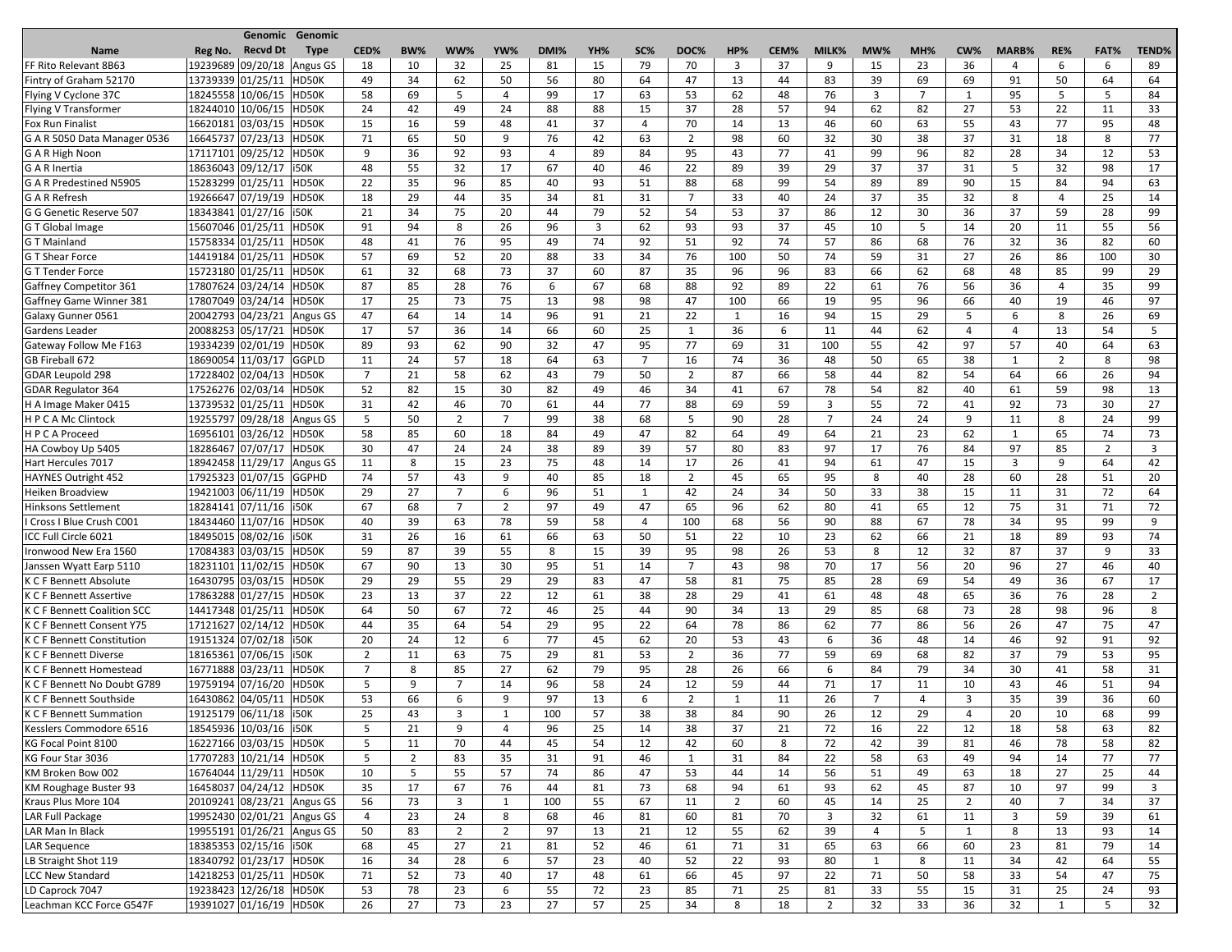|                                    |         |                            | <b>Genomic Genomic</b> |                |                |                          |                |      |     |                |                |                |      |                |     |                |                |              |                |      |                |
|------------------------------------|---------|----------------------------|------------------------|----------------|----------------|--------------------------|----------------|------|-----|----------------|----------------|----------------|------|----------------|-----|----------------|----------------|--------------|----------------|------|----------------|
| <b>Name</b>                        | Reg No. | <b>Recvd Dt</b>            | <b>Type</b>            | CED%           | <b>BW%</b>     | WW%                      | YW%            | DMI% | YH% | SC%            | DOC%           | HP%            | CEM% | MILK%          | MW% | MH%            | CW%            | MARB%        | RE%            | FAT% | <b>TEND%</b>   |
| FF Rito Relevant 8B63              |         | 19239689 09/20/18          | Angus GS               | 18             | 10             | 32                       | 25             | 81   | 15  | 79             | 70             | 3              | 37   | 9              | 15  | 23             | 36             | 4            | 6              | 6    | 89             |
| Fintry of Graham 52170             |         | 13739339 01/25/11          | HD50K                  | 49             | 34             | 62                       | 50             | 56   | 80  | 64             | 47             | 13             | 44   | 83             | 39  | 69             | 69             | 91           | 50             | 64   | 64             |
| Flying V Cyclone 37C               |         | 18245558 10/06/15          | HD50K                  | 58             | 69             | 5                        | 4              | 99   | 17  | 63             | 53             | 62             | 48   | 76             | 3   | $\overline{7}$ | $\mathbf{1}$   | 95           | 5              | 5    | 84             |
| Flying V Transformer               |         | 18244010 10/06/15 HD50K    |                        | 24             | 42             | 49                       | 24             | 88   | 88  | 15             | 37             | 28             | 57   | 94             | 62  | 82             | 27             | 53           | 22             | 11   | 33             |
| <b>Fox Run Finalist</b>            |         | 16620181 03/03/15 HD50K    |                        | 15             | 16             | 59                       | 48             | 41   | 37  | 4              | 70             | 14             | 13   | 46             | 60  | 63             | 55             | 43           | 77             | 95   | 48             |
| G A R 5050 Data Manager 0536       |         | 16645737 07/23/13          | HD50K                  | 71             | 65             | 50                       | 9              | 76   | 42  | 63             | $\overline{2}$ | 98             | 60   | 32             | 30  | 38             | 37             | 31           | 18             | 8    | 77             |
| G A R High Noon                    |         | 17117101 09/25/12 HD50K    |                        | 9              | 36             | 92                       | 93             | 4    | 89  | 84             | 95             | 43             | 77   | 41             | 99  | 96             | 82             | 28           | 34             | 12   | 53             |
| G A R Inertia                      |         | 18636043 09/12/17   i50K   |                        | 48             | 55             | 32                       | 17             | 67   | 40  | 46             | 22             | 89             | 39   | 29             | 37  | 37             | 31             | 5            | 32             | 98   | 17             |
| G A R Predestined N5905            |         | 15283299 01/25/11          | HD50K                  | 22             | 35             | 96                       | 85             | 40   | 93  | 51             | 88             | 68             | 99   | 54             | 89  | 89             | 90             | 15           | 84             | 94   | 63             |
| <b>G A R Refresh</b>               |         | 19266647 07/19/19          | HD50K                  | 18             | 29             | 44                       | 35             | 34   | 81  | 31             | $\overline{7}$ | 33             | 40   | 24             | 37  | 35             | 32             | 8            | 4              | 25   | 14             |
| G G Genetic Reserve 507            |         | 18343841 01/27/16   i50K   |                        | 21             | 34             | 75                       | 20             | 44   | 79  | 52             | 54             | 53             | 37   | 86             | 12  | 30             | 36             | 37           | 59             | 28   | 99             |
| G T Global Image                   |         | 15607046 01/25/11          | HD50K                  | 91             | 94             | 8                        | 26             | 96   | 3   | 62             | 93             | 93             | 37   | 45             | 10  | 5              | 14             | 20           | 11             | 55   | 56             |
| <b>GT</b> Mainland                 |         | 15758334 01/25/11          | HD50K                  | 48             | 41             | 76                       | 95             | 49   | 74  | 92             | 51             | 92             | 74   | 57             | 86  | 68             | 76             | 32           | 36             | 82   | 60             |
| <b>G T Shear Force</b>             |         | 14419184 01/25/11          | HD50K                  | 57             | 69             | 52                       | 20             | 88   | 33  | 34             | 76             | 100            | 50   | 74             | 59  | 31             | 27             | 26           | 86             | 100  | 30             |
| <b>GT Tender Force</b>             |         | 15723180 01/25/11          | HD50K                  | 61             | 32             | 68                       | 73             | 37   | 60  | 87             | 35             | 96             | 96   | 83             | 66  | 62             | 68             | 48           | 85             | 99   | 29             |
| Gaffney Competitor 361             |         | 17807624 03/24/14          | HD50K                  | 87             | 85             | 28                       | 76             | 6    | 67  | 68             | 88             | 92             | 89   | 22             | 61  | 76             | 56             | 36           | 4              | 35   | 99             |
| Gaffney Game Winner 381            |         | 17807049 03/24/14 HD50K    |                        | 17             | 25             | 73                       | 75             | 13   | 98  | 98             | 47             | 100            | 66   | 19             | 95  | 96             | 66             | 40           | 19             | 46   | 97             |
| Galaxy Gunner 0561                 |         | 20042793 04/23/21          | Angus GS               | 47             | 64             | 14                       | 14             | 96   | 91  | 21             | 22             | 1              | 16   | 94             | 15  | 29             | 5              | 6            | 8              | 26   | 69             |
| <b>Gardens Leader</b>              |         | 20088253 05/17/21 HD50K    |                        | 17             | 57             | 36                       | 14             | 66   | 60  | 25             | $\mathbf{1}$   | 36             | 6    | 11             | 44  | 62             | 4              | 4            | 13             | 54   | 5              |
|                                    |         | 19334239 02/01/19 HD50K    |                        |                | 93             |                          | 90             |      | 47  |                | 77             |                |      |                | 55  |                | 97             | 57           |                | 64   |                |
| Gateway Follow Me F163             |         |                            |                        | 89             |                | 62                       |                | 32   |     | 95             |                | 69             | 31   | 100            |     | 42             |                |              | 40             |      | 63             |
| GB Fireball 672                    |         | 18690054 11/03/17          | GGPLD                  | 11             | 24             | 57                       | 18             | 64   | 63  | $\overline{7}$ | 16             | 74             | 36   | 48             | 50  | 65             | 38             | $\mathbf{1}$ | $\overline{2}$ | 8    | 98             |
| <b>GDAR Leupold 298</b>            |         | 17228402 02/04/13 HD50K    |                        | $\overline{7}$ | 21             | 58                       | 62             | 43   | 79  | 50             | $\overline{2}$ | 87             | 66   | 58             | 44  | 82             | 54             | 64           | 66             | 26   | 94             |
| <b>GDAR Regulator 364</b>          |         | 17526276 02/03/14          | HD50K                  | 52             | 82             | 15                       | 30             | 82   | 49  | 46             | 34             | 41             | 67   | 78             | 54  | 82             | 40             | 61           | 59             | 98   | 13             |
| H A Image Maker 0415               |         | 13739532 01/25/11          | HD50K                  | 31             | 42             | 46                       | 70             | 61   | 44  | 77             | 88             | 69             | 59   | 3              | 55  | 72             | 41             | 92           | 73             | 30   | 27             |
| HPCAMcClintock                     |         | 19255797 09/28/18          | Angus GS               | 5              | 50             | $\overline{2}$           | 7              | 99   | 38  | 68             | -5             | 90             | 28   | $\overline{7}$ | 24  | 24             | 9              | 11           | 8              | 24   | 99             |
| HPCA Proceed                       |         | 16956101 03/26/12 HD50K    |                        | 58             | 85             | 60                       | 18             | 84   | 49  | 47             | 82             | 64             | 49   | 64             | 21  | 23             | 62             | $\mathbf{1}$ | 65             | 74   | 73             |
| HA Cowboy Up 5405                  |         | 18286467 07/07/17 HD50K    |                        | 30             | 47             | 24                       | 24             | 38   | 89  | 39             | 57             | 80             | 83   | 97             | 17  | 76             | 84             | 97           | 85             | 2    | 3              |
| Hart Hercules 7017                 |         | 18942458 11/29/17          | Angus GS               | 11             | 8              | 15                       | 23             | 75   | 48  | 14             | 17             | 26             | 41   | 94             | 61  | 47             | 15             | 3            | 9              | 64   | 42             |
| HAYNES Outright 452                |         | 17925323 01/07/15 GGPHD    |                        | 74             | 57             | 43                       | 9              | 40   | 85  | 18             | $\overline{2}$ | 45             | 65   | 95             | 8   | 40             | 28             | 60           | 28             | 51   | 20             |
| Heiken Broadview                   |         | 19421003 06/11/19 HD50K    |                        | 29             | 27             | $\overline{\phantom{0}}$ | 6              | 96   | 51  | $\overline{ }$ | 42             | 24             | 34   | 50             | 33  | 38             | 15             | 11           | 31             | 72   | 64             |
| <b>Hinksons Settlement</b>         |         | 18284141 07/11/16   i50K   |                        | 67             | 68             | $\overline{7}$           | $\overline{2}$ | 97   | 49  | 47             | 65             | 96             | 62   | 80             | 41  | 65             | 12             | 75           | 31             | 71   | 72             |
| I Cross I Blue Crush C001          |         | 18434460 11/07/16 HD50K    |                        | 40             | 39             | 63                       | 78             | 59   | 58  | 4              | 100            | 68             | 56   | 90             | 88  | 67             | 78             | 34           | 95             | 99   | 9              |
| ICC Full Circle 6021               |         | 18495015 08/02/16   i50K   |                        | 31             | 26             | 16                       | 61             | 66   | 63  | 50             | 51             | 22             | 10   | 23             | 62  | 66             | 21             | 18           | 89             | 93   | 74             |
| Ironwood New Era 1560              |         | 17084383 03/03/15          | HD50K                  | 59             | 87             | 39                       | 55             | 8    | 15  | 39             | 95             | 98             | 26   | 53             | 8   | 12             | 32             | 87           | 37             | 9    | 33             |
| Janssen Wyatt Earp 5110            |         | 18231101 11/02/15 HD50K    |                        | 67             | 90             | 13                       | 30             | 95   | 51  | 14             | 7              | 43             | 98   | 70             | 17  | 56             | 20             | 96           | 27             | 46   | 40             |
| K C F Bennett Absolute             |         | 16430795 03/03/15          | HD50K                  | 29             | 29             | 55                       | 29             | 29   | 83  | 47             | 58             | 81             | 75   | 85             | 28  | 69             | 54             | 49           | 36             | 67   | 17             |
| K C F Bennett Assertive            |         | 17863288 01/27/15 HD50K    |                        | 23             | 13             | 37                       | 22             | 12   | 61  | 38             | 28             | 29             | 41   | 61             | 48  | 48             | 65             | 36           | 76             | 28   | $\overline{2}$ |
| <b>K C F Bennett Coalition SCC</b> |         | 14417348 01/25/11 HD50K    |                        | 64             | 50             | 67                       | 72             | 46   | 25  | 44             | 90             | 34             | 13   | 29             | 85  | 68             | 73             | 28           | 98             | 96   | 8              |
| K C F Bennett Consent Y75          |         | 17121627 02/14/12 HD50K    |                        | 44             | 35             | 64                       | 54             | 29   | 95  | 22             | 64             | 78             | 86   | 62             | 77  | 86             | 56             | 26           | 47             | 75   | 47             |
| <b>K C F Bennett Constitution</b>  |         | 19151324 07/02/18   i50K   |                        | 20             | 24             | 12                       | 6              | 77   | 45  | 62             | 20             | 53             | 43   | 6              | 36  | 48             | 14             | 46           | 92             | 91   | 92             |
| <b>K C F Bennett Diverse</b>       |         | 18165361 07/06/15          | <b>i50K</b>            | $\overline{2}$ | 11             | 63                       | 75             | 29   | 81  | 53             | $\overline{2}$ | 36             | 77   | 59             | 69  | 68             | 82             | 37           | 79             | 53   | 95             |
| K C F Bennett Homestead            |         | 16771888 03/23/11 HD50K    |                        | 7              | 8              | 85                       | 27             | 62   | 79  | 95             | 28             | 26             | 66   | 6              | 84  | 79             | 34             | 30           | 41             | 58   | 31             |
| K C F Bennett No Doubt G789        |         | 19759194 07/16/20 HD50K    |                        | 5              | 9              | 7                        | 14             | 96   | 58  | 24             | 12             | 59             | 44   | 71             | 17  | 11             | 10             | 43           | 46             | 51   | 94             |
| K C F Bennett Southside            |         | 16430862 04/05/11          | HD50K                  | 53             | 66             | 6                        | 9              | 97   | 13  | 6              | $\overline{2}$ | $\mathbf{1}$   | 11   | 26             | 7   | 4              | 3              | 35           | 39             | 36   | 60             |
| <b>K C F Bennett Summation</b>     |         | 19125179 06/11/18   i50K   |                        | 25             | 43             | 3                        | 1              | 100  | 57  | 38             | 38             | 84             | 90   | 26             | 12  | 29             | 4              | 20           | 10             | 68   | 99             |
| Kesslers Commodore 6516            |         | 18545936 10/03/16   i50K   |                        | -5             | 21             | 9                        | $\overline{a}$ | 96   | 25  | 14             | 38             | 37             | 21   | 72             | 16  | 22             | 12             | 18           | 58             | 63   | 82             |
| KG Focal Point 8100                |         | 16227166 03/03/15 HD50K    |                        | -5             | 11             | 70                       | 44             | 45   | 54  | 12             | 42             | 60             | 8    | 72             | 42  | 39             | 81             | 46           | 78             | 58   | 82             |
| KG Four Star 3036                  |         | 17707283 10/21/14 HD50K    |                        | 5              | $\overline{2}$ | 83                       | 35             | 31   | 91  | 46             | 1              | 31             | 84   | 22             | 58  | 63             | 49             | 94           | 14             | 77   | 77             |
| KM Broken Bow 002                  |         | 16764044 11/29/11 HD50K    |                        | 10             | -5             | 55                       | 57             | 74   | 86  | 47             | 53             | 44             | 14   | 56             | 51  | 49             | 63             | 18           | 27             | 25   | 44             |
| KM Roughage Buster 93              |         | 16458037 04/24/12 HD50K    |                        | 35             | 17             | 67                       | 76             | 44   | 81  | 73             | 68             | 94             | 61   | 93             | 62  | 45             | 87             | 10           | 97             | 99   | 3              |
| Kraus Plus More 104                |         | 20109241 08/23/21 Angus GS |                        | 56             | 73             | 3                        | 1              | 100  | 55  | 67             | 11             | $\overline{2}$ | 60   | 45             | 14  | 25             | $\overline{2}$ | 40           | 7              | 34   | 37             |
| <b>LAR Full Package</b>            |         | 19952430 02/01/21 Angus GS |                        | $\overline{4}$ | 23             | 24                       | 8              | 68   | 46  | 81             | 60             | 81             | 70   | 3              | 32  | 61             | 11             | 3            | 59             | 39   | 61             |
| LAR Man In Black                   |         | 19955191 01/26/21 Angus GS |                        | 50             | 83             | $\overline{2}$           | $\overline{2}$ | 97   | 13  | 21             | 12             | 55             | 62   | 39             | 4   | 5              | 1              | 8            | 13             | 93   | 14             |
| <b>LAR Sequence</b>                |         | 18385353 02/15/16   i50K   |                        | 68             | 45             | 27                       | 21             | 81   | 52  | 46             | 61             | 71             | 31   | 65             | 63  | 66             | 60             | 23           | 81             | 79   | 14             |
| LB Straight Shot 119               |         | 18340792 01/23/17 HD50K    |                        | 16             | 34             | 28                       | 6              | 57   | 23  | 40             | 52             | 22             | 93   | 80             | 1   | 8              | 11             | 34           | 42             | 64   | 55             |
| <b>LCC New Standard</b>            |         | 14218253 01/25/11 HD50K    |                        | 71             | 52             | 73                       | 40             | 17   | 48  | 61             | 66             | 45             | 97   | 22             | 71  | 50             | 58             | 33           | 54             | 47   | 75             |
| LD Caprock 7047                    |         | 19238423 12/26/18 HD50K    |                        | 53             | 78             | 23                       | 6              | 55   | 72  | 23             | 85             | 71             | 25   | 81             | 33  | 55             | 15             | 31           | 25             | 24   | 93             |
| Leachman KCC Force G547F           |         | 19391027 01/16/19 HD50K    |                        | 26             | 27             | 73                       | 23             | 27   | 57  | 25             | 34             | 8              | 18   | $\overline{2}$ | 32  | 33             | 36             | 32           | $\mathbf{1}$   | 5    | 32             |
|                                    |         |                            |                        |                |                |                          |                |      |     |                |                |                |      |                |     |                |                |              |                |      |                |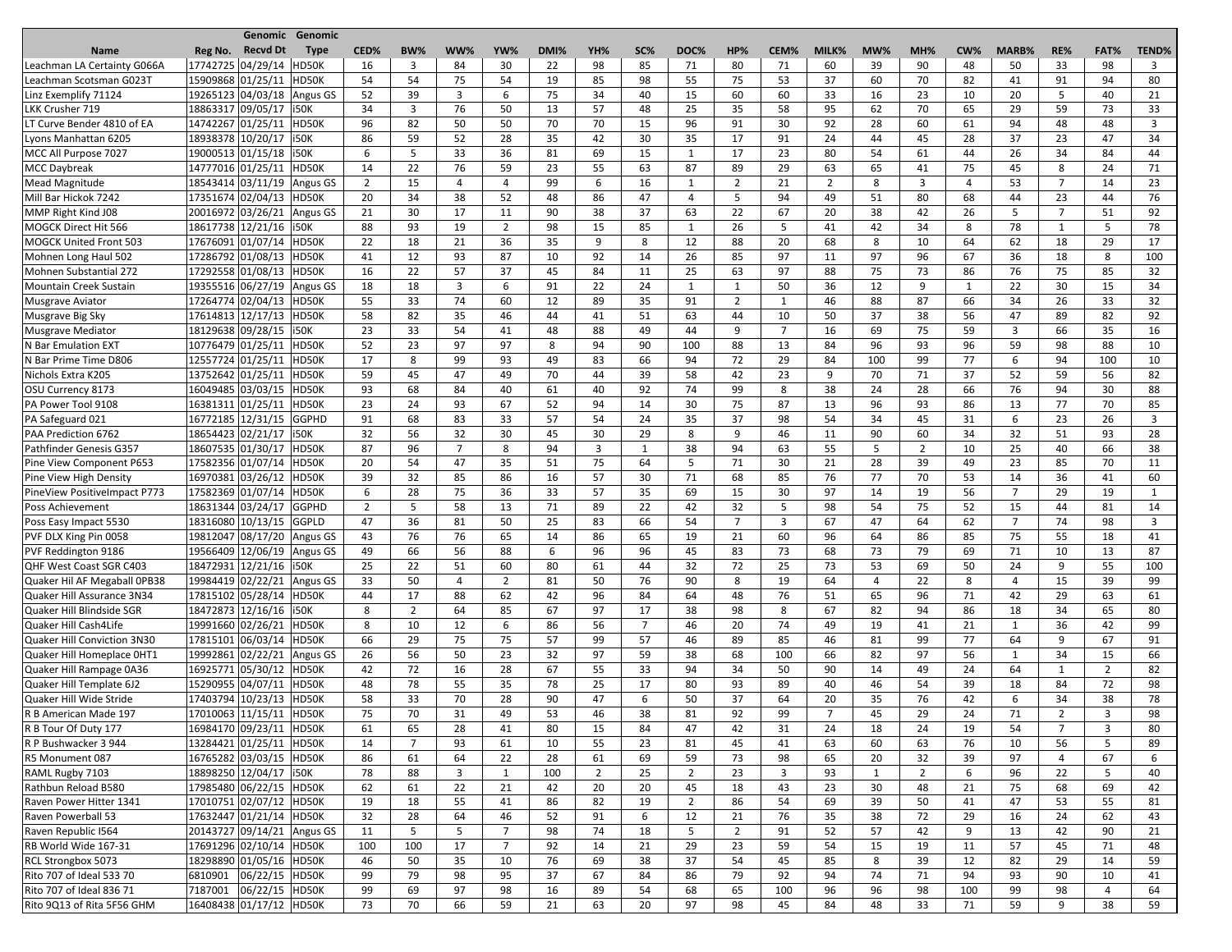|                               |                   | Genomic Genomic                |                |                |                |                |      |                |             |                |                |                |                |     |                |     |                          |                |                |              |
|-------------------------------|-------------------|--------------------------------|----------------|----------------|----------------|----------------|------|----------------|-------------|----------------|----------------|----------------|----------------|-----|----------------|-----|--------------------------|----------------|----------------|--------------|
| <b>Name</b>                   | Reg No.           | <b>Recvd Dt</b><br><b>Type</b> | CED%           | BW%            | WW%            | YW%            | DMI% | YH%            | SC%         | DOC%           | HP%            | CEM%           | MILK%          | MW% | MH%            | CW% | MARB%                    | RE%            | FAT%           | <b>TEND%</b> |
| Leachman LA Certainty G066A   | 17742725 04/29/14 | HD50K                          | 16             | 3              | 84             | 30             | 22   | 98             | 85          | 71             | 80             | 71             | 60             | 39  | 90             | 48  | 50                       | 33             | 98             | 3            |
| Leachman Scotsman G023T       | 15909868 01/25/11 | HD50K                          | 54             | 54             | 75             | 54             | 19   | 85             | 98          | 55             | 75             | 53             | 37             | 60  | 70             | 82  | 41                       | 91             | 94             | 80           |
| Linz Exemplify 71124          |                   | 19265123 04/03/18 Angus GS     | 52             | 39             | $\overline{3}$ | 6              | 75   | 34             | 40          | 15             | 60             | 60             | 33             | 16  | 23             | 10  | 20                       | 5              | 40             | 21           |
| LKK Crusher 719               |                   | 18863317 09/05/17   i50K       | 34             | $\overline{3}$ | 76             | 50             | 13   | 57             | 48          | 25             | 35             | 58             | 95             | 62  | 70             | 65  | 29                       | 59             | 73             | 33           |
| LT Curve Bender 4810 of EA    |                   | 14742267 01/25/11 HD50K        | 96             | 82             | 50             | 50             | 70   | 70             | 15          | 96             | 91             | 30             | 92             | 28  | 60             | 61  | 94                       | 48             | 48             | 3            |
| Lyons Manhattan 6205          | 18938378 10/20/17 | i50K                           | 86             | 59             | 52             | 28             | 35   | 42             | 30          | 35             | 17             | 91             | 24             | 44  | 45             | 28  | 37                       | 23             | 47             | 34           |
| MCC All Purpose 7027          |                   | 19000513 01/15/18   i50K       | 6              | 5              | 33             | 36             | 81   | 69             | 15          |                | 17             | 23             | 80             | 54  | 61             | 44  | 26                       | 34             | 84             | 44           |
| <b>MCC Daybreak</b>           |                   | 14777016 01/25/11 HD50K        | 14             | 22             | 76             | 59             | 23   | 55             | 63          | 87             | 89             | 29             | 63             | 65  | 41             | 75  | 45                       | 8              | 24             | 71           |
| Mead Magnitude                |                   | 18543414 03/11/19 Angus GS     | $\overline{2}$ | 15             | $\overline{4}$ | $\overline{4}$ | 99   | 6              | 16          | 1              | $\overline{2}$ | 21             | $\overline{2}$ | 8   | 3              | 4   | 53                       | $\overline{7}$ | 14             | 23           |
| Mill Bar Hickok 7242          |                   | 17351674 02/04/13 HD50K        | 20             | 34             | 38             | 52             | 48   | 86             | 47          | $\overline{4}$ | 5              | 94             | 49             | 51  | 80             | 68  | 44                       | 23             | 44             | 76           |
| MMP Right Kind J08            |                   | 20016972 03/26/21 Angus GS     | 21             | 30             | 17             | 11             | 90   | 38             | 37          | 63             | 22             | 67             | 20             | 38  | 42             | 26  | 5                        | $\overline{7}$ | 51             | 92           |
| MOGCK Direct Hit 566          |                   | 18617738 12/21/16   i50K       | 88             | 93             | 19             | $\overline{2}$ | 98   | 15             | 85          |                | 26             | 5              | 41             | 42  | 34             | 8   | 78                       | 1              | 5              | 78           |
| <b>MOGCK United Front 503</b> | 17676091 01/07/14 | HD50K                          | 22             | 18             | 21             | 36             | 35   | 9              | 8           | 12             | 88             | 20             | 68             | 8   | 10             | 64  | 62                       | 18             | 29             | 17           |
| Mohnen Long Haul 502          |                   | 17286792 01/08/13<br>HD50K     | 41             | 12             | 93             | 87             | 10   | 92             | 14          | 26             | 85             | 97             | 11             | 97  | 96             | 67  | 36                       | 18             | 8              | 100          |
| <b>Mohnen Substantial 272</b> |                   | 17292558 01/08/13 HD50K        | 16             | 22             | 57             | 37             | 45   | 84             | 11          | 25             | 63             | 97             | 88             | 75  | 73             | 86  | 76                       | 75             | 85             | 32           |
| Mountain Creek Sustain        |                   | 19355516 06/27/19 Angus GS     | 18             | 18             | 3              | 6              | 91   | 22             | 24          |                | -1             | 50             | 36             | 12  | 9              |     | 22                       | 30             | 15             | 34           |
| Musgrave Aviator              |                   | 17264774 02/04/13 HD50K        | 55             | 33             | 74             | 60             | 12   | 89             | 35          | 91             | $\overline{2}$ |                | 46             | 88  | 87             | 66  | 34                       | 26             | 33             | 32           |
| Musgrave Big Sky              |                   | 17614813 12/17/13<br>HD50K     | 58             | 82             | 35             | 46             | 44   | 41             | 51          | 63             | 44             | 10             | 50             | 37  | 38             | 56  | 47                       | 89             | 82             | 92           |
| Musgrave Mediator             |                   | 18129638 09/28/15   i50K       | 23             | 33             | 54             | 41             | 48   | 88             | 49          | 44             | 9              | $\overline{7}$ | 16             | 69  | 75             | 59  | $\overline{3}$           | 66             | 35             | 16           |
| N Bar Emulation EXT           |                   | 10776479 01/25/11 HD50K        | 52             |                | 97             | 97             | 8    |                | 90          | 100            | 88             |                | 84             | 96  | 93             | 96  | 59                       | 98             | 88             | 10           |
|                               |                   |                                |                | 23             |                |                |      | 94             |             |                |                | 13             |                |     |                |     |                          |                |                |              |
| N Bar Prime Time D806         | 12557724 01/25/11 | HD50K                          | 17             | 8              | 99             | 93             | 49   | 83             | 66          | 94             | 72             | 29             | 84             | 100 | 99             | 77  | 6                        | 94             | 100            | 10           |
| Nichols Extra K205            |                   | 13752642 01/25/11 HD50K        | 59             | 45             | 47             | 49             | 70   | 44             | 39          | 58             | 42             | 23             | 9              | 70  | 71             | 37  | 52                       | 59             | 56             | 82           |
| OSU Currency 8173             |                   | 16049485 03/03/15  HD50K       | 93             | 68             | 84             | 40             | 61   | 40             | 92          | 74             | 99             | 8              | 38             | 24  | 28             | 66  | 76                       | 94             | 30             | 88           |
| PA Power Tool 9108            | 16381311 01/25/11 | HD50K                          | 23             | 24             | 93             | 67             | 52   | 94             | 14          | 30             | 75             | 87             | 13             | 96  | 93             | 86  | 13                       | 77             | 70             | 85           |
| PA Safeguard 021              |                   | 16772185 12/31/15<br>GGPHD     | 91             | 68             | 83             | 33             | 57   | 54             | 24          | 35             | 37             | 98             | 54             | 34  | 45             | 31  | 6                        | 23             | 26             | 3            |
| PAA Prediction 6762           |                   | 18654423 02/21/17   i50K       | 32             | 56             | 32             | 30             | 45   | 30             | 29          | 8              | 9              | 46             | 11             | 90  | 60             | 34  | 32                       | 51             | 93             | 28           |
| Pathfinder Genesis G357       | 18607535 01/30/17 | HD50K                          | 87             | 96             | 7              | 8              | 94   | 3              | $\mathbf 1$ | 38             | 94             | 63             | 55             | -5  | $\overline{2}$ | 10  | 25                       | 40             | 66             | 38           |
| Pine View Component P653      | 17582356 01/07/14 | HD50K                          | 20             | 54             | 47             | 35             | 51   | 75             | 64          | -5             | 71             | 30             | 21             | 28  | 39             | 49  | 23                       | 85             | 70             | 11           |
| Pine View High Density        |                   | 16970381 03/26/12<br>HD50K     | 39             | 32             | 85             | 86             | 16   | 57             | 30          | 71             | 68             | 85             | 76             | 77  | 70             | 53  | 14                       | 36             | 41             | 60           |
| PineView PositiveImpact P773  |                   | 17582369 01/07/14 HD50K        | 6              | 28             | 75             | 36             | 33   | 57             | 35          | 69             | 15             | 30             | 97             | 14  | 19             | 56  | $\overline{\phantom{0}}$ | 29             | 19             |              |
| Poss Achievement              |                   | 18631344 03/24/17 GGPHD        | $\overline{2}$ | 5              | 58             | 13             | 71   | 89             | 22          | 42             | 32             | 5              | 98             | 54  | 75             | 52  | 15                       | 44             | 81             | 14           |
| Poss Easy Impact 5530         |                   | 18316080 10/13/15 GGPLD        | 47             | 36             | 81             | 50             | 25   | 83             | 66          | 54             | $\overline{7}$ | 3              | 67             | 47  | 64             | 62  | $\overline{7}$           | 74             | 98             | 3            |
| PVF DLX King Pin 0058         |                   | 19812047 08/17/20 Angus GS     | 43             | 76             | 76             | 65             | 14   | 86             | 65          | 19             | 21             | 60             | 96             | 64  | 86             | 85  | 75                       | 55             | 18             | 41           |
| PVF Reddington 9186           |                   | 19566409 12/06/19 Angus GS     | 49             | 66             | 56             | 88             | 6    | 96             | 96          | 45             | 83             | 73             | 68             | 73  | 79             | 69  | 71                       | 10             | 13             | 87           |
| QHF West Coast SGR C403       |                   | 18472931 12/21/16   i50K       | 25             | 22             | 51             | 60             | 80   | 61             | 44          | 32             | 72             | 25             | 73             | 53  | 69             | 50  | 24                       | 9              | 55             | 100          |
| Quaker Hil AF Megaball OPB38  |                   | 19984419 02/22/21 Angus GS     | 33             | 50             | 4              | $\overline{2}$ | 81   | 50             | 76          | 90             | 8              | 19             | 64             | 4   | 22             | 8   | 4                        | 15             | 39             | 99           |
| Quaker Hill Assurance 3N34    |                   | 17815102 05/28/14 HD50K        | 44             | 17             | 88             | 62             | 42   | 96             | 84          | 64             | 48             | 76             | 51             | 65  | 96             | 71  | 42                       | 29             | 63             | 61           |
| Quaker Hill Blindside SGR     |                   | 18472873 12/16/16 150K         | 8              | $\overline{2}$ | 64             | 85             | 67   | 97             | 17          | 38             | 98             | 8              | 67             | 82  | 94             | 86  | 18                       | 34             | 65             | 80           |
| Quaker Hill Cash4Life         |                   | 19991660 02/26/21 HD50K        | 8              | 10             | 12             | 6              | 86   | 56             | 7           | 46             | 20             | 74             | 49             | 19  | 41             | 21  | $\mathbf{1}$             | 36             | 42             | 99           |
| Quaker Hill Conviction 3N30   |                   | 17815101 06/03/14 HD50K        | 66             | 29             | 75             | 75             | 57   | 99             | 57          | 46             | 89             | 85             | 46             | 81  | 99             | 77  | 64                       | 9              | 67             | 91           |
| Quaker Hill Homeplace OHT1    |                   | 19992861 02/22/21 Angus GS     | 26             | 56             | 50             | 23             | 32   | 97             | 59          | 38             | 68             | 100            | 66             | 82  | 97             | 56  | $\mathbf{1}$             | 34             | 15             | 66           |
| Quaker Hill Rampage 0A36      |                   | 16925771 05/30/12 HD50K        | 42             | 72             | 16             | 28             | 67   | 55             | 33          | 94             | 34             | 50             | 90             | 14  | 49             | 24  | 64                       | 1              | $\overline{2}$ | 82           |
| Quaker Hill Template 6J2      |                   | 15290955 04/07/11 HD50K        | 48             | 78             | 55             | 35             | 78   | 25             | 17          | 80             | 93             | 89             | 40             | 46  | 54             | 39  | 18                       | 84             | 72             | 98           |
| Quaker Hill Wide Stride       |                   | 17403794 10/23/13 HD50K        | 58             | 33             | 70             | 28             | 90   | 47             | 6           | 50             | 37             | 64             | 20             | 35  | 76             | 42  | 6                        | 34             | 38             | 78           |
| R B American Made 197         |                   | 17010063 11/15/11 HD50K        | 75             | 70             | 31             | 49             | 53   | 46             | 38          | 81             | 92             | 99             | $\overline{7}$ | 45  | 29             | 24  | 71                       | $\overline{2}$ | 3              | 98           |
| R B Tour Of Duty 177          |                   | 16984170 09/23/11 HD50K        | 61             | 65             | 28             | 41             | 80   | 15             | 84          | 47             | 42             | 31             | 24             | 18  | 24             | 19  | 54                       | $\overline{7}$ | 3              | 80           |
| R P Bushwacker 3 944          |                   | 13284421 01/25/11 HD50K        | 14             | $\overline{7}$ | 93             | 61             | 10   | 55             | 23          | 81             | 45             | 41             | 63             | 60  | 63             | 76  | 10                       | 56             | 5              | 89           |
| R5 Monument 087               |                   | 16765282 03/03/15 HD50K        | 86             | 61             | 64             | 22             | 28   | 61             | 69          | 59             | 73             | 98             | 65             | 20  | 32             | 39  | 97                       | 4              | 67             | 6            |
| RAML Rugby 7103               |                   | 18898250 12/04/17   i50K       | 78             | 88             | $\overline{3}$ | 1              | 100  | $\overline{2}$ | 25          | $\overline{2}$ | 23             | 3              | 93             | 1   | $\overline{2}$ | 6   | 96                       | 22             | 5              | 40           |
| Rathbun Reload B580           |                   | 17985480 06/22/15 HD50K        | 62             | 61             | 22             | 21             | 42   | 20             | 20          | 45             | 18             | 43             | 23             | 30  | 48             | 21  | 75                       | 68             | 69             | 42           |
| Raven Power Hitter 1341       |                   | 17010751 02/07/12 HD50K        | 19             | 18             | 55             | 41             | 86   | 82             | 19          | $\overline{2}$ | 86             | 54             | 69             | 39  | 50             | 41  | 47                       | 53             | 55             | 81           |
| Raven Powerball 53            |                   | 17632447 01/21/14 HD50K        | 32             | 28             | 64             | 46             | 52   | 91             | 6           | 12             | 21             | 76             | 35             | 38  | 72             | 29  | 16                       | 24             | 62             | 43           |
| Raven Republic I564           |                   | 20143727 09/14/21 Angus GS     | 11             | 5              | 5              | $\overline{7}$ | 98   | 74             | 18          | 5              | $\overline{2}$ | 91             | 52             | 57  | 42             | 9   | 13                       | 42             | 90             | 21           |
| RB World Wide 167-31          |                   | 17691296 02/10/14 HD50K        | 100            | 100            | 17             | $\overline{7}$ | 92   | 14             | 21          | 29             | 23             | 59             | 54             | 15  | 19             | 11  | 57                       | 45             | 71             | 48           |
| <b>RCL Strongbox 5073</b>     |                   | 18298890 01/05/16 HD50K        | 46             | 50             | 35             | 10             | 76   | 69             | 38          | 37             | 54             | 45             | 85             | 8   | 39             | 12  | 82                       | 29             | 14             | 59           |
| Rito 707 of Ideal 533 70      | 6810901           | 06/22/15 HD50K                 | 99             | 79             | 98             | 95             | 37   | 67             | 84          | 86             | 79             | 92             | 94             | 74  | 71             | 94  | 93                       | 90             | 10             | 41           |
| Rito 707 of Ideal 836 71      | 7187001           | 06/22/15 HD50K                 | 99             | 69             | 97             | 98             | 16   | 89             | 54          | 68             | 65             | 100            | 96             | 96  | 98             | 100 | 99                       | 98             | 4              | 64           |
| Rito 9Q13 of Rita 5F56 GHM    |                   | 16408438 01/17/12 HD50K        | 73             | 70             | 66             | 59             | 21   | 63             | 20          | 97             | 98             | 45             | 84             | 48  | 33             | 71  | 59                       | 9              | 38             | 59           |
|                               |                   |                                |                |                |                |                |      |                |             |                |                |                |                |     |                |     |                          |                |                |              |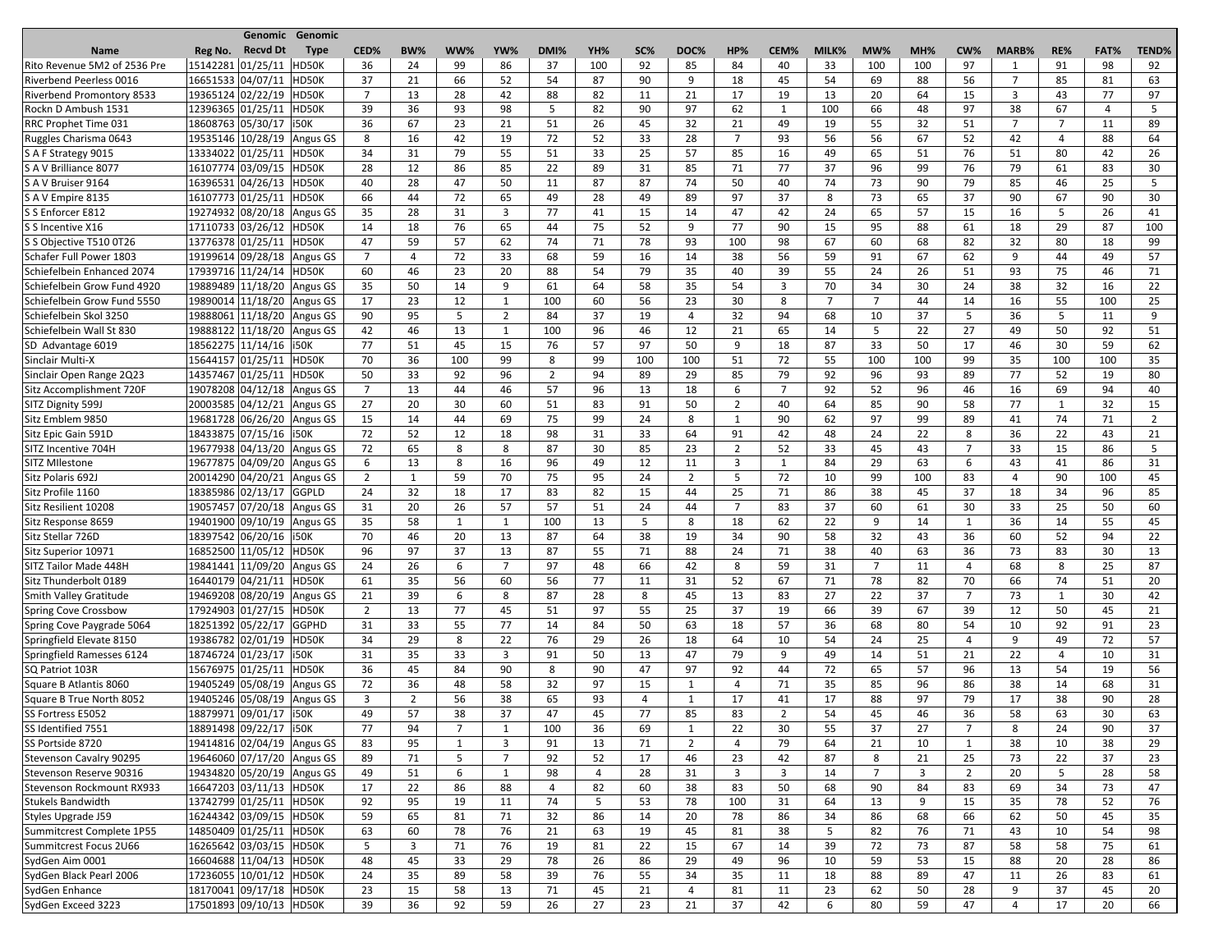| CED%<br>BW%<br>WW%<br>YW%<br>DMI%<br>YH%<br>SC%<br>DOC%<br>HP%<br>CEM%<br>MW%<br>MH%<br>RE%<br>FAT%<br><b>TEND%</b><br><b>Recvd Dt</b><br>MILK%<br>CW%<br><b>MARB%</b><br><b>Name</b><br>Reg No.<br><b>Type</b><br>15142281 01/25/11<br>37<br>98<br>HD50K<br>36<br>99<br>86<br>92<br>85<br>84<br>33<br>97<br>91<br>92<br>24<br>100<br>40<br>100<br>100<br>1<br>16651533 04/07/11<br>HD50K<br>90<br>54<br>56<br>7<br>85<br>63<br>Riverbend Peerless 0016<br>37<br>21<br>66<br>52<br>54<br>87<br>9<br>18<br>45<br>69<br>88<br>81<br>$\overline{7}$<br>19365124 02/22/19<br>28<br>21<br>20<br>3<br>77<br>97<br>13<br>42<br>88<br>82<br>17<br>19<br>13<br>64<br>15<br>43<br>HD50K<br>11<br>12396365 01/25/11 HD50K<br>39<br>36<br>93<br>98<br>5<br>82<br>90<br>97<br>62<br>100<br>97<br>38<br>67<br>66<br>48<br>4<br>5<br>1<br>18608763 05/30/17   i50K<br>36<br>67<br>23<br>26<br>21<br>19<br>55<br>32<br>51<br>$\overline{7}$<br>$\overline{7}$<br>21<br>51<br>45<br>32<br>49<br>11<br>89<br>19535146 10/28/19 Angus GS<br>72<br>$\overline{7}$<br>Ruggles Charisma 0643<br>16<br>42<br>52<br>33<br>28<br>93<br>56<br>56<br>67<br>52<br>42<br>88<br>64<br>8<br>19<br>4<br>13334022 01/25/11<br>HD50K<br>79<br>55<br>51<br>33<br>25<br>57<br>85<br>16<br>49<br>65<br>51<br>76<br>51<br>80<br>42<br>26<br>S A F Strategy 9015<br>34<br>31<br>S A V Brilliance 8077<br>16107774 03/09/15<br>86<br>22<br>77<br>37<br>96<br>99<br>79<br>61<br>83<br>HD50K<br>28<br>12<br>85<br>89<br>31<br>85<br>71<br>76<br>30<br>25<br>16396531 04/26/13<br>40<br>28<br>47<br>50<br>11<br>87<br>87<br>74<br>50<br>40<br>74<br>73<br>90<br>79<br>85<br>46<br>5 <sup>5</sup><br>S A V Bruiser 9164<br>HD50K<br>16107773 01/25/11<br>HD50K<br>66<br>72<br>65<br>49<br>28<br>97<br>37<br>73<br>65<br>37<br>90<br>67<br>90<br>30<br>S A V Empire 8135<br>44<br>49<br>89<br>8<br>19274932 08/20/18 Angus GS<br>77<br>S S Enforcer E812<br>35<br>28<br>31<br>3<br>15<br>47<br>24<br>65<br>57<br>16<br>5<br>26<br>41<br>14<br>42<br>15<br>41<br>17110733 03/26/12 HD50K<br>76<br>65<br>95<br>88<br>29<br>87<br>S S Incentive X16<br>18<br>44<br>75<br>52<br>9<br>77<br>90<br>15<br>61<br>18<br>100<br>14<br>13776378 01/25/11<br>62<br>74<br>71<br>78<br>100<br>82<br>32<br>18<br>S S Objective T510 0T26<br>HD50K<br>47<br>59<br>57<br>93<br>98<br>67<br>60<br>68<br>80<br>99<br>Schafer Full Power 1803<br>19199614 09/28/18 Angus GS<br>$\overline{7}$<br>72<br>33<br>68<br>59<br>16<br>38<br>56<br>59<br>91<br>67<br>62<br>9<br>44<br>49<br>57<br>$\overline{4}$<br>14<br>17939716 11/24/14 HD50K<br>23<br>20<br>88<br>79<br>35<br>39<br>55<br>24<br>26<br>51<br>93<br>75<br>60<br>46<br>54<br>40<br>46<br>71<br>Schiefelbein Enhanced 2074<br>Schiefelbein Grow Fund 4920<br>19889489 11/18/20 Angus GS<br>9<br>61<br>35<br>70<br>30<br>24<br>38<br>32<br>22<br>35<br>50<br>14<br>64<br>58<br>54<br>3<br>34<br>16<br>19890014 11/18/20 Angus GS<br>23<br>30<br>8<br>$\overline{7}$<br>$\overline{7}$<br>44<br>55<br>100<br>25<br>Schiefelbein Grow Fund 5550<br>17<br>12<br>100<br>60<br>56<br>23<br>14<br>16<br>5<br>$\overline{2}$<br>32<br>Schiefelbein Skol 3250<br>19888061 11/18/20 Angus GS<br>95<br>84<br>37<br>19<br>94<br>37<br>36<br>5<br>9<br>90<br>68<br>10<br>5<br>11<br>4<br>19888122 11/18/20 Angus GS<br>13<br>100<br>96<br>46<br>65<br>22<br>27<br>50<br>92<br>Schiefelbein Wall St 830<br>42<br>46<br>$\mathbf{1}$<br>12<br>21<br>14<br>.5<br>49<br>51<br>18562275 11/14/16   i50K<br>76<br>57<br>97<br>87<br>33<br>50<br>59<br>62<br>SD Advantage 6019<br>77<br>51<br>45<br>15<br>50<br>9<br>18<br>17<br>46<br>30<br>15644157 01/25/11<br>Sinclair Multi-X<br>HD50K<br>100<br>99<br>8<br>99<br>100<br>100<br>51<br>72<br>55<br>100<br>99<br>35<br>100<br>35<br>70<br>36<br>100<br>100<br>14357467 01/25/11 HD50K<br>96<br>$\overline{2}$<br>94<br>29<br>79<br>96<br>93<br>89<br>77<br>52<br>80<br>Sinclair Open Range 2Q23<br>50<br>33<br>92<br>89<br>85<br>92<br>19<br>Sitz Accomplishment 720F<br>19078208 04/12/18 Angus GS<br>$\overline{7}$<br>57<br>96<br>$\overline{7}$<br>92<br>52<br>96<br>69<br>94<br>13<br>44<br>46<br>13<br>18<br>6<br>46<br>16<br>40<br>20003585 04/12/21 Angus GS<br>SITZ Dignity 599J<br>27<br>20<br>30<br>60<br>51<br>83<br>91<br>50<br>$\overline{2}$<br>64<br>85<br>90<br>58<br>77<br>1<br>32<br>15<br>40<br>75<br>19681728 06/26/20 Angus GS<br>44<br>69<br>99<br>24<br>90<br>62<br>97<br>99<br>89<br>74<br>71<br>Sitz Emblem 9850<br>15<br>14<br>8<br>41<br>$\overline{2}$<br>1<br>18433875 07/15/16 150K<br>72<br>52<br>12<br>18<br>98<br>33<br>64<br>91<br>42<br>48<br>24<br>22<br>8<br>36<br>22<br>43<br>Sitz Epic Gain 591D<br>31<br>21<br>19677938 04/13/20 Angus GS<br>65<br>8<br>8<br>87<br>$\overline{2}$<br>7<br>33<br>86<br>SITZ Incentive 704H<br>72<br>30<br>85<br>23<br>52<br>33<br>45<br>43<br>15<br>5<br>19677875 04/09/20 Angus GS<br>16<br>SITZ MIlestone<br>13<br>8<br>96<br>12<br>3<br>84<br>29<br>63<br>86<br>31<br>6<br>49<br>11<br>6<br>43<br>41<br>$\mathbf{1}$<br>20014290 04/20/21 Angus GS<br>59<br>75<br>24<br>$\overline{2}$<br>72<br>10<br>Sitz Polaris 692J<br>$\overline{2}$<br>70<br>95<br>-5<br>99<br>100<br>83<br>90<br>100<br>45<br>$\mathbf{1}$<br>4<br>18385986 02/13/17 GGPLD<br>Sitz Profile 1160<br>24<br>32<br>18<br>17<br>83<br>82<br>15<br>25<br>71<br>86<br>38<br>37<br>18<br>34<br>96<br>85<br>44<br>45<br>19057457 07/20/18 Angus GS<br>Sitz Resilient 10208<br>20<br>26<br>57<br>57<br>24<br>$\overline{7}$<br>83<br>37<br>60<br>61<br>30<br>33<br>25<br>50<br>60<br>31<br>51<br>44<br>19401900 09/10/19 Angus GS<br>58<br>100<br>5<br>8<br>18<br>62<br>22<br>36<br>55<br>Sitz Response 8659<br>35<br>$\mathbf{1}$<br>-1<br>13<br>9<br>14<br>1<br>14<br>45<br>20<br>38<br>32<br>36<br>94<br>18397542 06/20/16   i50K<br>70<br>46<br>13<br>87<br>64<br>19<br>34<br>90<br>58<br>43<br>60<br>52<br>22<br>Sitz Stellar 726D<br>37<br>24<br>38<br>36<br>73<br>30<br>16852500 11/05/12 HD50K<br>96<br>97<br>13<br>87<br>55<br>71<br>88<br>71<br>63<br>83<br>13<br>Sitz Superior 10971<br>40<br>19841441 11/09/20 Angus GS<br>26<br>7<br>97<br>66<br>8<br>59<br>7<br>68<br>8<br>25<br>87<br>SITZ Tailor Made 448H<br>24<br>6<br>48<br>42<br>31<br>11<br>4<br>16440179 04/21/11 HD50K<br>Sitz Thunderbolt 0189<br>35<br>56<br>60<br>56<br>77<br>52<br>67<br>78<br>82<br>70<br>66<br>74<br>20<br>61<br>11<br>31<br>71<br>51<br>19469208 08/20/19 Angus GS<br>39<br>8<br>87<br>8<br>83<br>27<br>22<br>37<br>$\overline{7}$<br>73<br>30<br>42<br>21<br>6<br>28<br>45<br>13<br>Smith Valley Gratitude<br>1<br>17924903 01/27/15 HD50K<br>77<br>97<br>55<br>25<br>37<br>66<br>39<br>67<br>39<br>45<br>$\overline{2}$<br>13<br>45<br>51<br>19<br>12<br>50<br>21<br>Spring Cove Crossbow<br>18251392 05/22/17 GGPHD<br>Spring Cove Paygrade 5064<br>33<br>55<br>77<br>50<br>18<br>57<br>36<br>68<br>80<br>54<br>92<br>91<br>23<br>31<br>14<br>84<br>63<br>10<br>19386782 02/01/19 HD50K<br>Springfield Elevate 8150<br>29<br>8<br>22<br>76<br>29<br>26<br>18<br>64<br>10<br>54<br>24<br>25<br>9<br>49<br>72<br>57<br>34<br>4<br>Springfield Ramesses 6124<br>18746724 01/23/17   i50K<br>35<br>33<br>$\overline{3}$<br>91<br>47<br>79<br>9<br>49<br>51<br>21<br>22<br>10<br>31<br>31<br>50<br>13<br>14<br>4<br>15676975 01/25/11 HD50K<br>36<br>90<br>8<br>90<br>47<br>97<br>92<br>72<br>65<br>57<br>96<br>13<br>54<br>19<br>56<br>45<br>84<br>44<br>Square B Atlantis 8060<br>19405249 05/08/19 Angus GS<br>72<br>36<br>58<br>32<br>71<br>35<br>85<br>96<br>86<br>38<br>68<br>48<br>97<br>15<br>4<br>14<br>31<br>1<br>Square B True North 8052<br>19405246 05/08/19 Angus GS<br>3<br>$\overline{2}$<br>56<br>38<br>65<br>93<br>4<br>17<br>17<br>97<br>79<br>17<br>38<br>90<br>28<br>1<br>41<br>88<br>18879971 09/01/17   i50K<br>57<br>38<br>47<br>77<br>54<br>63<br>SS Fortress E5052<br>49<br>37<br>45<br>85<br>83<br>$\overline{2}$<br>45<br>46<br>36<br>58<br>30<br>63<br>18891498 09/22/17   i50K<br>SS Identified 7551<br>77<br>7<br>36<br>69<br>22<br>30<br>37<br>27<br>7<br>8<br>24<br>90<br>37<br>94<br>100<br>55<br>-1<br>1<br>19414816 02/04/19 Angus GS<br>SS Portside 8720<br>95<br>$\mathbf{1}$<br>3<br>91<br>13<br>71<br>$\overline{2}$<br>79<br>64<br>21<br>10<br>38<br>10<br>38<br>29<br>83<br>4<br>1<br>19646060 07/17/20 Angus GS<br>71<br>5<br>$\overline{ }$<br>92<br>52<br>17<br>46<br>23<br>42<br>87<br>8<br>21<br>25<br>73<br>22<br>37<br>23<br><b>Stevenson Cavalry 90295</b><br>89<br>19434820 05/20/19 Angus GS<br>6<br>98<br>$\overline{7}$<br>3<br>2<br>28<br>Stevenson Reserve 90316<br>28<br>31<br>3<br>3<br>14<br>20<br>5<br>58<br>49<br>51<br>-1<br>4<br>16647203 03/11/13 HD50K<br>86<br>22<br>88<br>82<br>60<br>38<br>83<br>50<br>68<br>90<br>84<br>83<br>69<br>34<br>73<br>47<br><b>Stevenson Rockmount RX933</b><br>17<br>4<br><b>Stukels Bandwidth</b><br>13742799 01/25/11 HD50K<br>19<br>74<br>78<br>100<br>78<br>52<br>76<br>92<br>95<br>11<br>-5<br>53<br>31<br>64<br>13<br>9<br>15<br>35<br>16244342 03/09/15<br>65<br>71<br>32<br>86<br>78<br>34<br>62<br>50<br>45<br>HD50K<br>59<br>81<br>14<br>20<br>86<br>86<br>68<br>66<br>35<br>76<br>14850409 01/25/11<br>60<br>78<br>21<br>63<br>19<br>81<br>38<br>5<br>82<br>76<br>71<br>43<br>54<br>98<br>HD50K<br>63<br>45<br>10<br>Summitcrest Complete 1P55<br>16265642 03/03/15<br>HD50K<br>$\overline{3}$<br>71<br>76<br>19<br>22<br>67<br>39<br>72<br>73<br>87<br>58<br>75<br>61<br>-5<br>81<br>15<br>14<br>58<br>16604688 11/04/13 HD50K<br>45<br>33<br>29<br>78<br>26<br>86<br>29<br>49<br>96<br>10<br>59<br>53<br>88<br>20<br>28<br>86<br>48<br>15<br>76<br>83<br>17236055 10/01/12 HD50K<br>24<br>35<br>89<br>58<br>39<br>55<br>34<br>35<br>88<br>89<br>47<br>26<br>61<br>11<br>18<br>11<br>18170041 09/17/18 HD50K<br>23<br>15<br>58<br>13<br>71<br>45<br>21<br>81<br>23<br>62<br>50<br>28<br>9<br>37<br>45<br>20<br>11<br>$\overline{4}$<br>17501893 09/10/13 HD50K<br>36<br>92<br>26<br>23<br>37<br>39<br>59<br>27<br>21<br>42<br>6<br>80<br>59<br>17<br>20<br>66<br>47<br>4 |                                  | Genomic Genomic |  |  |  |  |  |  |  |  |  |
|-------------------------------------------------------------------------------------------------------------------------------------------------------------------------------------------------------------------------------------------------------------------------------------------------------------------------------------------------------------------------------------------------------------------------------------------------------------------------------------------------------------------------------------------------------------------------------------------------------------------------------------------------------------------------------------------------------------------------------------------------------------------------------------------------------------------------------------------------------------------------------------------------------------------------------------------------------------------------------------------------------------------------------------------------------------------------------------------------------------------------------------------------------------------------------------------------------------------------------------------------------------------------------------------------------------------------------------------------------------------------------------------------------------------------------------------------------------------------------------------------------------------------------------------------------------------------------------------------------------------------------------------------------------------------------------------------------------------------------------------------------------------------------------------------------------------------------------------------------------------------------------------------------------------------------------------------------------------------------------------------------------------------------------------------------------------------------------------------------------------------------------------------------------------------------------------------------------------------------------------------------------------------------------------------------------------------------------------------------------------------------------------------------------------------------------------------------------------------------------------------------------------------------------------------------------------------------------------------------------------------------------------------------------------------------------------------------------------------------------------------------------------------------------------------------------------------------------------------------------------------------------------------------------------------------------------------------------------------------------------------------------------------------------------------------------------------------------------------------------------------------------------------------------------------------------------------------------------------------------------------------------------------------------------------------------------------------------------------------------------------------------------------------------------------------------------------------------------------------------------------------------------------------------------------------------------------------------------------------------------------------------------------------------------------------------------------------------------------------------------------------------------------------------------------------------------------------------------------------------------------------------------------------------------------------------------------------------------------------------------------------------------------------------------------------------------------------------------------------------------------------------------------------------------------------------------------------------------------------------------------------------------------------------------------------------------------------------------------------------------------------------------------------------------------------------------------------------------------------------------------------------------------------------------------------------------------------------------------------------------------------------------------------------------------------------------------------------------------------------------------------------------------------------------------------------------------------------------------------------------------------------------------------------------------------------------------------------------------------------------------------------------------------------------------------------------------------------------------------------------------------------------------------------------------------------------------------------------------------------------------------------------------------------------------------------------------------------------------------------------------------------------------------------------------------------------------------------------------------------------------------------------------------------------------------------------------------------------------------------------------------------------------------------------------------------------------------------------------------------------------------------------------------------------------------------------------------------------------------------------------------------------------------------------------------------------------------------------------------------------------------------------------------------------------------------------------------------------------------------------------------------------------------------------------------------------------------------------------------------------------------------------------------------------------------------------------------------------------------------------------------------------------------------------------------------------------------------------------------------------------------------------------------------------------------------------------------------------------------------------------------------------------------------------------------------------------------------------------------------------------------------------------------------------------------------------------------------------------------------------------------------------------------------------------------------------------------------------------------------------------------------------------------------------------------------------------------------------------------------------------------------------------------------------------------------------------------------------------------------------------------------------------------------------------------------------------------------------------------------------------------------------------------------------------------------------------------------------------------------------------------------------------------------------------------------------------------------------------------------------------------------------------------------------------------------------------------------------------------------------------------------------------------------------------------------------------------------------------------------------------------------------------------------------------------------------------------------------------------------------------------------------------------------------------------------------------------------------------------------------------------------------------------------------------------------------------------------------------------------------------------------------------------------------------------------------------------------------------------------------------------------------------------------------------------------------------------------------------------------------------------------------------------------------------------------------------------------------------------------------------------------------------------------------------------------------------------------------------------------------------------------------------------------------------------------------------------------------------------------------------------------------------------------------------------------------------------------------------------------------------------------------------------------------------------------------------------------------------------------------------------------------------------------------------------------------------------------------------------------------------------------------------------------------------------------------------------------------------------------------------------------------------------------------------------------------------------------------------------------------------------------------------------------------------------------------------------------------------------------------------------------------------------------------------------------------------------------------------------------------------------------------------------------------------------------------------------------------------------------------------------------------------------------------------------------------------------------------------------------------------------------------------------------------------|----------------------------------|-----------------|--|--|--|--|--|--|--|--|--|
|                                                                                                                                                                                                                                                                                                                                                                                                                                                                                                                                                                                                                                                                                                                                                                                                                                                                                                                                                                                                                                                                                                                                                                                                                                                                                                                                                                                                                                                                                                                                                                                                                                                                                                                                                                                                                                                                                                                                                                                                                                                                                                                                                                                                                                                                                                                                                                                                                                                                                                                                                                                                                                                                                                                                                                                                                                                                                                                                                                                                                                                                                                                                                                                                                                                                                                                                                                                                                                                                                                                                                                                                                                                                                                                                                                                                                                                                                                                                                                                                                                                                                                                                                                                                                                                                                                                                                                                                                                                                                                                                                                                                                                                                                                                                                                                                                                                                                                                                                                                                                                                                                                                                                                                                                                                                                                                                                                                                                                                                                                                                                                                                                                                                                                                                                                                                                                                                                                                                                                                                                                                                                                                                                                                                                                                                                                                                                                                                                                                                                                                                                                                                                                                                                                                                                                                                                                                                                                                                                                                                                                                                                                                                                                                                                                                                                                                                                                                                                                                                                                                                                                                                                                                                                                                                                                                                                                                                                                                                                                                                                                                                                                                                                                                                                                                                                                                                                                                                                                                                                                                                                                                                                                                                                                                                                                                                                                                                                                                                                                                                                                                                                                                                                                                                                                                                                                                                                                                                                                                                                                                                                                                                                                                                                                                                                                                                                                                                                                                                                                                                                                                 |                                  |                 |  |  |  |  |  |  |  |  |  |
|                                                                                                                                                                                                                                                                                                                                                                                                                                                                                                                                                                                                                                                                                                                                                                                                                                                                                                                                                                                                                                                                                                                                                                                                                                                                                                                                                                                                                                                                                                                                                                                                                                                                                                                                                                                                                                                                                                                                                                                                                                                                                                                                                                                                                                                                                                                                                                                                                                                                                                                                                                                                                                                                                                                                                                                                                                                                                                                                                                                                                                                                                                                                                                                                                                                                                                                                                                                                                                                                                                                                                                                                                                                                                                                                                                                                                                                                                                                                                                                                                                                                                                                                                                                                                                                                                                                                                                                                                                                                                                                                                                                                                                                                                                                                                                                                                                                                                                                                                                                                                                                                                                                                                                                                                                                                                                                                                                                                                                                                                                                                                                                                                                                                                                                                                                                                                                                                                                                                                                                                                                                                                                                                                                                                                                                                                                                                                                                                                                                                                                                                                                                                                                                                                                                                                                                                                                                                                                                                                                                                                                                                                                                                                                                                                                                                                                                                                                                                                                                                                                                                                                                                                                                                                                                                                                                                                                                                                                                                                                                                                                                                                                                                                                                                                                                                                                                                                                                                                                                                                                                                                                                                                                                                                                                                                                                                                                                                                                                                                                                                                                                                                                                                                                                                                                                                                                                                                                                                                                                                                                                                                                                                                                                                                                                                                                                                                                                                                                                                                                                                                                                 | Rito Revenue 5M2 of 2536 Pre     |                 |  |  |  |  |  |  |  |  |  |
|                                                                                                                                                                                                                                                                                                                                                                                                                                                                                                                                                                                                                                                                                                                                                                                                                                                                                                                                                                                                                                                                                                                                                                                                                                                                                                                                                                                                                                                                                                                                                                                                                                                                                                                                                                                                                                                                                                                                                                                                                                                                                                                                                                                                                                                                                                                                                                                                                                                                                                                                                                                                                                                                                                                                                                                                                                                                                                                                                                                                                                                                                                                                                                                                                                                                                                                                                                                                                                                                                                                                                                                                                                                                                                                                                                                                                                                                                                                                                                                                                                                                                                                                                                                                                                                                                                                                                                                                                                                                                                                                                                                                                                                                                                                                                                                                                                                                                                                                                                                                                                                                                                                                                                                                                                                                                                                                                                                                                                                                                                                                                                                                                                                                                                                                                                                                                                                                                                                                                                                                                                                                                                                                                                                                                                                                                                                                                                                                                                                                                                                                                                                                                                                                                                                                                                                                                                                                                                                                                                                                                                                                                                                                                                                                                                                                                                                                                                                                                                                                                                                                                                                                                                                                                                                                                                                                                                                                                                                                                                                                                                                                                                                                                                                                                                                                                                                                                                                                                                                                                                                                                                                                                                                                                                                                                                                                                                                                                                                                                                                                                                                                                                                                                                                                                                                                                                                                                                                                                                                                                                                                                                                                                                                                                                                                                                                                                                                                                                                                                                                                                                                 |                                  |                 |  |  |  |  |  |  |  |  |  |
|                                                                                                                                                                                                                                                                                                                                                                                                                                                                                                                                                                                                                                                                                                                                                                                                                                                                                                                                                                                                                                                                                                                                                                                                                                                                                                                                                                                                                                                                                                                                                                                                                                                                                                                                                                                                                                                                                                                                                                                                                                                                                                                                                                                                                                                                                                                                                                                                                                                                                                                                                                                                                                                                                                                                                                                                                                                                                                                                                                                                                                                                                                                                                                                                                                                                                                                                                                                                                                                                                                                                                                                                                                                                                                                                                                                                                                                                                                                                                                                                                                                                                                                                                                                                                                                                                                                                                                                                                                                                                                                                                                                                                                                                                                                                                                                                                                                                                                                                                                                                                                                                                                                                                                                                                                                                                                                                                                                                                                                                                                                                                                                                                                                                                                                                                                                                                                                                                                                                                                                                                                                                                                                                                                                                                                                                                                                                                                                                                                                                                                                                                                                                                                                                                                                                                                                                                                                                                                                                                                                                                                                                                                                                                                                                                                                                                                                                                                                                                                                                                                                                                                                                                                                                                                                                                                                                                                                                                                                                                                                                                                                                                                                                                                                                                                                                                                                                                                                                                                                                                                                                                                                                                                                                                                                                                                                                                                                                                                                                                                                                                                                                                                                                                                                                                                                                                                                                                                                                                                                                                                                                                                                                                                                                                                                                                                                                                                                                                                                                                                                                                                                 | <b>Riverbend Promontory 8533</b> |                 |  |  |  |  |  |  |  |  |  |
|                                                                                                                                                                                                                                                                                                                                                                                                                                                                                                                                                                                                                                                                                                                                                                                                                                                                                                                                                                                                                                                                                                                                                                                                                                                                                                                                                                                                                                                                                                                                                                                                                                                                                                                                                                                                                                                                                                                                                                                                                                                                                                                                                                                                                                                                                                                                                                                                                                                                                                                                                                                                                                                                                                                                                                                                                                                                                                                                                                                                                                                                                                                                                                                                                                                                                                                                                                                                                                                                                                                                                                                                                                                                                                                                                                                                                                                                                                                                                                                                                                                                                                                                                                                                                                                                                                                                                                                                                                                                                                                                                                                                                                                                                                                                                                                                                                                                                                                                                                                                                                                                                                                                                                                                                                                                                                                                                                                                                                                                                                                                                                                                                                                                                                                                                                                                                                                                                                                                                                                                                                                                                                                                                                                                                                                                                                                                                                                                                                                                                                                                                                                                                                                                                                                                                                                                                                                                                                                                                                                                                                                                                                                                                                                                                                                                                                                                                                                                                                                                                                                                                                                                                                                                                                                                                                                                                                                                                                                                                                                                                                                                                                                                                                                                                                                                                                                                                                                                                                                                                                                                                                                                                                                                                                                                                                                                                                                                                                                                                                                                                                                                                                                                                                                                                                                                                                                                                                                                                                                                                                                                                                                                                                                                                                                                                                                                                                                                                                                                                                                                                                                 | Rockn D Ambush 1531              |                 |  |  |  |  |  |  |  |  |  |
|                                                                                                                                                                                                                                                                                                                                                                                                                                                                                                                                                                                                                                                                                                                                                                                                                                                                                                                                                                                                                                                                                                                                                                                                                                                                                                                                                                                                                                                                                                                                                                                                                                                                                                                                                                                                                                                                                                                                                                                                                                                                                                                                                                                                                                                                                                                                                                                                                                                                                                                                                                                                                                                                                                                                                                                                                                                                                                                                                                                                                                                                                                                                                                                                                                                                                                                                                                                                                                                                                                                                                                                                                                                                                                                                                                                                                                                                                                                                                                                                                                                                                                                                                                                                                                                                                                                                                                                                                                                                                                                                                                                                                                                                                                                                                                                                                                                                                                                                                                                                                                                                                                                                                                                                                                                                                                                                                                                                                                                                                                                                                                                                                                                                                                                                                                                                                                                                                                                                                                                                                                                                                                                                                                                                                                                                                                                                                                                                                                                                                                                                                                                                                                                                                                                                                                                                                                                                                                                                                                                                                                                                                                                                                                                                                                                                                                                                                                                                                                                                                                                                                                                                                                                                                                                                                                                                                                                                                                                                                                                                                                                                                                                                                                                                                                                                                                                                                                                                                                                                                                                                                                                                                                                                                                                                                                                                                                                                                                                                                                                                                                                                                                                                                                                                                                                                                                                                                                                                                                                                                                                                                                                                                                                                                                                                                                                                                                                                                                                                                                                                                                                 | <b>RRC Prophet Time 031</b>      |                 |  |  |  |  |  |  |  |  |  |
|                                                                                                                                                                                                                                                                                                                                                                                                                                                                                                                                                                                                                                                                                                                                                                                                                                                                                                                                                                                                                                                                                                                                                                                                                                                                                                                                                                                                                                                                                                                                                                                                                                                                                                                                                                                                                                                                                                                                                                                                                                                                                                                                                                                                                                                                                                                                                                                                                                                                                                                                                                                                                                                                                                                                                                                                                                                                                                                                                                                                                                                                                                                                                                                                                                                                                                                                                                                                                                                                                                                                                                                                                                                                                                                                                                                                                                                                                                                                                                                                                                                                                                                                                                                                                                                                                                                                                                                                                                                                                                                                                                                                                                                                                                                                                                                                                                                                                                                                                                                                                                                                                                                                                                                                                                                                                                                                                                                                                                                                                                                                                                                                                                                                                                                                                                                                                                                                                                                                                                                                                                                                                                                                                                                                                                                                                                                                                                                                                                                                                                                                                                                                                                                                                                                                                                                                                                                                                                                                                                                                                                                                                                                                                                                                                                                                                                                                                                                                                                                                                                                                                                                                                                                                                                                                                                                                                                                                                                                                                                                                                                                                                                                                                                                                                                                                                                                                                                                                                                                                                                                                                                                                                                                                                                                                                                                                                                                                                                                                                                                                                                                                                                                                                                                                                                                                                                                                                                                                                                                                                                                                                                                                                                                                                                                                                                                                                                                                                                                                                                                                                                                 |                                  |                 |  |  |  |  |  |  |  |  |  |
|                                                                                                                                                                                                                                                                                                                                                                                                                                                                                                                                                                                                                                                                                                                                                                                                                                                                                                                                                                                                                                                                                                                                                                                                                                                                                                                                                                                                                                                                                                                                                                                                                                                                                                                                                                                                                                                                                                                                                                                                                                                                                                                                                                                                                                                                                                                                                                                                                                                                                                                                                                                                                                                                                                                                                                                                                                                                                                                                                                                                                                                                                                                                                                                                                                                                                                                                                                                                                                                                                                                                                                                                                                                                                                                                                                                                                                                                                                                                                                                                                                                                                                                                                                                                                                                                                                                                                                                                                                                                                                                                                                                                                                                                                                                                                                                                                                                                                                                                                                                                                                                                                                                                                                                                                                                                                                                                                                                                                                                                                                                                                                                                                                                                                                                                                                                                                                                                                                                                                                                                                                                                                                                                                                                                                                                                                                                                                                                                                                                                                                                                                                                                                                                                                                                                                                                                                                                                                                                                                                                                                                                                                                                                                                                                                                                                                                                                                                                                                                                                                                                                                                                                                                                                                                                                                                                                                                                                                                                                                                                                                                                                                                                                                                                                                                                                                                                                                                                                                                                                                                                                                                                                                                                                                                                                                                                                                                                                                                                                                                                                                                                                                                                                                                                                                                                                                                                                                                                                                                                                                                                                                                                                                                                                                                                                                                                                                                                                                                                                                                                                                                                 |                                  |                 |  |  |  |  |  |  |  |  |  |
|                                                                                                                                                                                                                                                                                                                                                                                                                                                                                                                                                                                                                                                                                                                                                                                                                                                                                                                                                                                                                                                                                                                                                                                                                                                                                                                                                                                                                                                                                                                                                                                                                                                                                                                                                                                                                                                                                                                                                                                                                                                                                                                                                                                                                                                                                                                                                                                                                                                                                                                                                                                                                                                                                                                                                                                                                                                                                                                                                                                                                                                                                                                                                                                                                                                                                                                                                                                                                                                                                                                                                                                                                                                                                                                                                                                                                                                                                                                                                                                                                                                                                                                                                                                                                                                                                                                                                                                                                                                                                                                                                                                                                                                                                                                                                                                                                                                                                                                                                                                                                                                                                                                                                                                                                                                                                                                                                                                                                                                                                                                                                                                                                                                                                                                                                                                                                                                                                                                                                                                                                                                                                                                                                                                                                                                                                                                                                                                                                                                                                                                                                                                                                                                                                                                                                                                                                                                                                                                                                                                                                                                                                                                                                                                                                                                                                                                                                                                                                                                                                                                                                                                                                                                                                                                                                                                                                                                                                                                                                                                                                                                                                                                                                                                                                                                                                                                                                                                                                                                                                                                                                                                                                                                                                                                                                                                                                                                                                                                                                                                                                                                                                                                                                                                                                                                                                                                                                                                                                                                                                                                                                                                                                                                                                                                                                                                                                                                                                                                                                                                                                                                 |                                  |                 |  |  |  |  |  |  |  |  |  |
|                                                                                                                                                                                                                                                                                                                                                                                                                                                                                                                                                                                                                                                                                                                                                                                                                                                                                                                                                                                                                                                                                                                                                                                                                                                                                                                                                                                                                                                                                                                                                                                                                                                                                                                                                                                                                                                                                                                                                                                                                                                                                                                                                                                                                                                                                                                                                                                                                                                                                                                                                                                                                                                                                                                                                                                                                                                                                                                                                                                                                                                                                                                                                                                                                                                                                                                                                                                                                                                                                                                                                                                                                                                                                                                                                                                                                                                                                                                                                                                                                                                                                                                                                                                                                                                                                                                                                                                                                                                                                                                                                                                                                                                                                                                                                                                                                                                                                                                                                                                                                                                                                                                                                                                                                                                                                                                                                                                                                                                                                                                                                                                                                                                                                                                                                                                                                                                                                                                                                                                                                                                                                                                                                                                                                                                                                                                                                                                                                                                                                                                                                                                                                                                                                                                                                                                                                                                                                                                                                                                                                                                                                                                                                                                                                                                                                                                                                                                                                                                                                                                                                                                                                                                                                                                                                                                                                                                                                                                                                                                                                                                                                                                                                                                                                                                                                                                                                                                                                                                                                                                                                                                                                                                                                                                                                                                                                                                                                                                                                                                                                                                                                                                                                                                                                                                                                                                                                                                                                                                                                                                                                                                                                                                                                                                                                                                                                                                                                                                                                                                                                                                 |                                  |                 |  |  |  |  |  |  |  |  |  |
|                                                                                                                                                                                                                                                                                                                                                                                                                                                                                                                                                                                                                                                                                                                                                                                                                                                                                                                                                                                                                                                                                                                                                                                                                                                                                                                                                                                                                                                                                                                                                                                                                                                                                                                                                                                                                                                                                                                                                                                                                                                                                                                                                                                                                                                                                                                                                                                                                                                                                                                                                                                                                                                                                                                                                                                                                                                                                                                                                                                                                                                                                                                                                                                                                                                                                                                                                                                                                                                                                                                                                                                                                                                                                                                                                                                                                                                                                                                                                                                                                                                                                                                                                                                                                                                                                                                                                                                                                                                                                                                                                                                                                                                                                                                                                                                                                                                                                                                                                                                                                                                                                                                                                                                                                                                                                                                                                                                                                                                                                                                                                                                                                                                                                                                                                                                                                                                                                                                                                                                                                                                                                                                                                                                                                                                                                                                                                                                                                                                                                                                                                                                                                                                                                                                                                                                                                                                                                                                                                                                                                                                                                                                                                                                                                                                                                                                                                                                                                                                                                                                                                                                                                                                                                                                                                                                                                                                                                                                                                                                                                                                                                                                                                                                                                                                                                                                                                                                                                                                                                                                                                                                                                                                                                                                                                                                                                                                                                                                                                                                                                                                                                                                                                                                                                                                                                                                                                                                                                                                                                                                                                                                                                                                                                                                                                                                                                                                                                                                                                                                                                                                 |                                  |                 |  |  |  |  |  |  |  |  |  |
|                                                                                                                                                                                                                                                                                                                                                                                                                                                                                                                                                                                                                                                                                                                                                                                                                                                                                                                                                                                                                                                                                                                                                                                                                                                                                                                                                                                                                                                                                                                                                                                                                                                                                                                                                                                                                                                                                                                                                                                                                                                                                                                                                                                                                                                                                                                                                                                                                                                                                                                                                                                                                                                                                                                                                                                                                                                                                                                                                                                                                                                                                                                                                                                                                                                                                                                                                                                                                                                                                                                                                                                                                                                                                                                                                                                                                                                                                                                                                                                                                                                                                                                                                                                                                                                                                                                                                                                                                                                                                                                                                                                                                                                                                                                                                                                                                                                                                                                                                                                                                                                                                                                                                                                                                                                                                                                                                                                                                                                                                                                                                                                                                                                                                                                                                                                                                                                                                                                                                                                                                                                                                                                                                                                                                                                                                                                                                                                                                                                                                                                                                                                                                                                                                                                                                                                                                                                                                                                                                                                                                                                                                                                                                                                                                                                                                                                                                                                                                                                                                                                                                                                                                                                                                                                                                                                                                                                                                                                                                                                                                                                                                                                                                                                                                                                                                                                                                                                                                                                                                                                                                                                                                                                                                                                                                                                                                                                                                                                                                                                                                                                                                                                                                                                                                                                                                                                                                                                                                                                                                                                                                                                                                                                                                                                                                                                                                                                                                                                                                                                                                                                 |                                  |                 |  |  |  |  |  |  |  |  |  |
|                                                                                                                                                                                                                                                                                                                                                                                                                                                                                                                                                                                                                                                                                                                                                                                                                                                                                                                                                                                                                                                                                                                                                                                                                                                                                                                                                                                                                                                                                                                                                                                                                                                                                                                                                                                                                                                                                                                                                                                                                                                                                                                                                                                                                                                                                                                                                                                                                                                                                                                                                                                                                                                                                                                                                                                                                                                                                                                                                                                                                                                                                                                                                                                                                                                                                                                                                                                                                                                                                                                                                                                                                                                                                                                                                                                                                                                                                                                                                                                                                                                                                                                                                                                                                                                                                                                                                                                                                                                                                                                                                                                                                                                                                                                                                                                                                                                                                                                                                                                                                                                                                                                                                                                                                                                                                                                                                                                                                                                                                                                                                                                                                                                                                                                                                                                                                                                                                                                                                                                                                                                                                                                                                                                                                                                                                                                                                                                                                                                                                                                                                                                                                                                                                                                                                                                                                                                                                                                                                                                                                                                                                                                                                                                                                                                                                                                                                                                                                                                                                                                                                                                                                                                                                                                                                                                                                                                                                                                                                                                                                                                                                                                                                                                                                                                                                                                                                                                                                                                                                                                                                                                                                                                                                                                                                                                                                                                                                                                                                                                                                                                                                                                                                                                                                                                                                                                                                                                                                                                                                                                                                                                                                                                                                                                                                                                                                                                                                                                                                                                                                                                 |                                  |                 |  |  |  |  |  |  |  |  |  |
|                                                                                                                                                                                                                                                                                                                                                                                                                                                                                                                                                                                                                                                                                                                                                                                                                                                                                                                                                                                                                                                                                                                                                                                                                                                                                                                                                                                                                                                                                                                                                                                                                                                                                                                                                                                                                                                                                                                                                                                                                                                                                                                                                                                                                                                                                                                                                                                                                                                                                                                                                                                                                                                                                                                                                                                                                                                                                                                                                                                                                                                                                                                                                                                                                                                                                                                                                                                                                                                                                                                                                                                                                                                                                                                                                                                                                                                                                                                                                                                                                                                                                                                                                                                                                                                                                                                                                                                                                                                                                                                                                                                                                                                                                                                                                                                                                                                                                                                                                                                                                                                                                                                                                                                                                                                                                                                                                                                                                                                                                                                                                                                                                                                                                                                                                                                                                                                                                                                                                                                                                                                                                                                                                                                                                                                                                                                                                                                                                                                                                                                                                                                                                                                                                                                                                                                                                                                                                                                                                                                                                                                                                                                                                                                                                                                                                                                                                                                                                                                                                                                                                                                                                                                                                                                                                                                                                                                                                                                                                                                                                                                                                                                                                                                                                                                                                                                                                                                                                                                                                                                                                                                                                                                                                                                                                                                                                                                                                                                                                                                                                                                                                                                                                                                                                                                                                                                                                                                                                                                                                                                                                                                                                                                                                                                                                                                                                                                                                                                                                                                                                                                 |                                  |                 |  |  |  |  |  |  |  |  |  |
|                                                                                                                                                                                                                                                                                                                                                                                                                                                                                                                                                                                                                                                                                                                                                                                                                                                                                                                                                                                                                                                                                                                                                                                                                                                                                                                                                                                                                                                                                                                                                                                                                                                                                                                                                                                                                                                                                                                                                                                                                                                                                                                                                                                                                                                                                                                                                                                                                                                                                                                                                                                                                                                                                                                                                                                                                                                                                                                                                                                                                                                                                                                                                                                                                                                                                                                                                                                                                                                                                                                                                                                                                                                                                                                                                                                                                                                                                                                                                                                                                                                                                                                                                                                                                                                                                                                                                                                                                                                                                                                                                                                                                                                                                                                                                                                                                                                                                                                                                                                                                                                                                                                                                                                                                                                                                                                                                                                                                                                                                                                                                                                                                                                                                                                                                                                                                                                                                                                                                                                                                                                                                                                                                                                                                                                                                                                                                                                                                                                                                                                                                                                                                                                                                                                                                                                                                                                                                                                                                                                                                                                                                                                                                                                                                                                                                                                                                                                                                                                                                                                                                                                                                                                                                                                                                                                                                                                                                                                                                                                                                                                                                                                                                                                                                                                                                                                                                                                                                                                                                                                                                                                                                                                                                                                                                                                                                                                                                                                                                                                                                                                                                                                                                                                                                                                                                                                                                                                                                                                                                                                                                                                                                                                                                                                                                                                                                                                                                                                                                                                                                                                 |                                  |                 |  |  |  |  |  |  |  |  |  |
|                                                                                                                                                                                                                                                                                                                                                                                                                                                                                                                                                                                                                                                                                                                                                                                                                                                                                                                                                                                                                                                                                                                                                                                                                                                                                                                                                                                                                                                                                                                                                                                                                                                                                                                                                                                                                                                                                                                                                                                                                                                                                                                                                                                                                                                                                                                                                                                                                                                                                                                                                                                                                                                                                                                                                                                                                                                                                                                                                                                                                                                                                                                                                                                                                                                                                                                                                                                                                                                                                                                                                                                                                                                                                                                                                                                                                                                                                                                                                                                                                                                                                                                                                                                                                                                                                                                                                                                                                                                                                                                                                                                                                                                                                                                                                                                                                                                                                                                                                                                                                                                                                                                                                                                                                                                                                                                                                                                                                                                                                                                                                                                                                                                                                                                                                                                                                                                                                                                                                                                                                                                                                                                                                                                                                                                                                                                                                                                                                                                                                                                                                                                                                                                                                                                                                                                                                                                                                                                                                                                                                                                                                                                                                                                                                                                                                                                                                                                                                                                                                                                                                                                                                                                                                                                                                                                                                                                                                                                                                                                                                                                                                                                                                                                                                                                                                                                                                                                                                                                                                                                                                                                                                                                                                                                                                                                                                                                                                                                                                                                                                                                                                                                                                                                                                                                                                                                                                                                                                                                                                                                                                                                                                                                                                                                                                                                                                                                                                                                                                                                                                                                 |                                  |                 |  |  |  |  |  |  |  |  |  |
|                                                                                                                                                                                                                                                                                                                                                                                                                                                                                                                                                                                                                                                                                                                                                                                                                                                                                                                                                                                                                                                                                                                                                                                                                                                                                                                                                                                                                                                                                                                                                                                                                                                                                                                                                                                                                                                                                                                                                                                                                                                                                                                                                                                                                                                                                                                                                                                                                                                                                                                                                                                                                                                                                                                                                                                                                                                                                                                                                                                                                                                                                                                                                                                                                                                                                                                                                                                                                                                                                                                                                                                                                                                                                                                                                                                                                                                                                                                                                                                                                                                                                                                                                                                                                                                                                                                                                                                                                                                                                                                                                                                                                                                                                                                                                                                                                                                                                                                                                                                                                                                                                                                                                                                                                                                                                                                                                                                                                                                                                                                                                                                                                                                                                                                                                                                                                                                                                                                                                                                                                                                                                                                                                                                                                                                                                                                                                                                                                                                                                                                                                                                                                                                                                                                                                                                                                                                                                                                                                                                                                                                                                                                                                                                                                                                                                                                                                                                                                                                                                                                                                                                                                                                                                                                                                                                                                                                                                                                                                                                                                                                                                                                                                                                                                                                                                                                                                                                                                                                                                                                                                                                                                                                                                                                                                                                                                                                                                                                                                                                                                                                                                                                                                                                                                                                                                                                                                                                                                                                                                                                                                                                                                                                                                                                                                                                                                                                                                                                                                                                                                                                 |                                  |                 |  |  |  |  |  |  |  |  |  |
|                                                                                                                                                                                                                                                                                                                                                                                                                                                                                                                                                                                                                                                                                                                                                                                                                                                                                                                                                                                                                                                                                                                                                                                                                                                                                                                                                                                                                                                                                                                                                                                                                                                                                                                                                                                                                                                                                                                                                                                                                                                                                                                                                                                                                                                                                                                                                                                                                                                                                                                                                                                                                                                                                                                                                                                                                                                                                                                                                                                                                                                                                                                                                                                                                                                                                                                                                                                                                                                                                                                                                                                                                                                                                                                                                                                                                                                                                                                                                                                                                                                                                                                                                                                                                                                                                                                                                                                                                                                                                                                                                                                                                                                                                                                                                                                                                                                                                                                                                                                                                                                                                                                                                                                                                                                                                                                                                                                                                                                                                                                                                                                                                                                                                                                                                                                                                                                                                                                                                                                                                                                                                                                                                                                                                                                                                                                                                                                                                                                                                                                                                                                                                                                                                                                                                                                                                                                                                                                                                                                                                                                                                                                                                                                                                                                                                                                                                                                                                                                                                                                                                                                                                                                                                                                                                                                                                                                                                                                                                                                                                                                                                                                                                                                                                                                                                                                                                                                                                                                                                                                                                                                                                                                                                                                                                                                                                                                                                                                                                                                                                                                                                                                                                                                                                                                                                                                                                                                                                                                                                                                                                                                                                                                                                                                                                                                                                                                                                                                                                                                                                                                 |                                  |                 |  |  |  |  |  |  |  |  |  |
|                                                                                                                                                                                                                                                                                                                                                                                                                                                                                                                                                                                                                                                                                                                                                                                                                                                                                                                                                                                                                                                                                                                                                                                                                                                                                                                                                                                                                                                                                                                                                                                                                                                                                                                                                                                                                                                                                                                                                                                                                                                                                                                                                                                                                                                                                                                                                                                                                                                                                                                                                                                                                                                                                                                                                                                                                                                                                                                                                                                                                                                                                                                                                                                                                                                                                                                                                                                                                                                                                                                                                                                                                                                                                                                                                                                                                                                                                                                                                                                                                                                                                                                                                                                                                                                                                                                                                                                                                                                                                                                                                                                                                                                                                                                                                                                                                                                                                                                                                                                                                                                                                                                                                                                                                                                                                                                                                                                                                                                                                                                                                                                                                                                                                                                                                                                                                                                                                                                                                                                                                                                                                                                                                                                                                                                                                                                                                                                                                                                                                                                                                                                                                                                                                                                                                                                                                                                                                                                                                                                                                                                                                                                                                                                                                                                                                                                                                                                                                                                                                                                                                                                                                                                                                                                                                                                                                                                                                                                                                                                                                                                                                                                                                                                                                                                                                                                                                                                                                                                                                                                                                                                                                                                                                                                                                                                                                                                                                                                                                                                                                                                                                                                                                                                                                                                                                                                                                                                                                                                                                                                                                                                                                                                                                                                                                                                                                                                                                                                                                                                                                                                 |                                  |                 |  |  |  |  |  |  |  |  |  |
|                                                                                                                                                                                                                                                                                                                                                                                                                                                                                                                                                                                                                                                                                                                                                                                                                                                                                                                                                                                                                                                                                                                                                                                                                                                                                                                                                                                                                                                                                                                                                                                                                                                                                                                                                                                                                                                                                                                                                                                                                                                                                                                                                                                                                                                                                                                                                                                                                                                                                                                                                                                                                                                                                                                                                                                                                                                                                                                                                                                                                                                                                                                                                                                                                                                                                                                                                                                                                                                                                                                                                                                                                                                                                                                                                                                                                                                                                                                                                                                                                                                                                                                                                                                                                                                                                                                                                                                                                                                                                                                                                                                                                                                                                                                                                                                                                                                                                                                                                                                                                                                                                                                                                                                                                                                                                                                                                                                                                                                                                                                                                                                                                                                                                                                                                                                                                                                                                                                                                                                                                                                                                                                                                                                                                                                                                                                                                                                                                                                                                                                                                                                                                                                                                                                                                                                                                                                                                                                                                                                                                                                                                                                                                                                                                                                                                                                                                                                                                                                                                                                                                                                                                                                                                                                                                                                                                                                                                                                                                                                                                                                                                                                                                                                                                                                                                                                                                                                                                                                                                                                                                                                                                                                                                                                                                                                                                                                                                                                                                                                                                                                                                                                                                                                                                                                                                                                                                                                                                                                                                                                                                                                                                                                                                                                                                                                                                                                                                                                                                                                                                                                 |                                  |                 |  |  |  |  |  |  |  |  |  |
|                                                                                                                                                                                                                                                                                                                                                                                                                                                                                                                                                                                                                                                                                                                                                                                                                                                                                                                                                                                                                                                                                                                                                                                                                                                                                                                                                                                                                                                                                                                                                                                                                                                                                                                                                                                                                                                                                                                                                                                                                                                                                                                                                                                                                                                                                                                                                                                                                                                                                                                                                                                                                                                                                                                                                                                                                                                                                                                                                                                                                                                                                                                                                                                                                                                                                                                                                                                                                                                                                                                                                                                                                                                                                                                                                                                                                                                                                                                                                                                                                                                                                                                                                                                                                                                                                                                                                                                                                                                                                                                                                                                                                                                                                                                                                                                                                                                                                                                                                                                                                                                                                                                                                                                                                                                                                                                                                                                                                                                                                                                                                                                                                                                                                                                                                                                                                                                                                                                                                                                                                                                                                                                                                                                                                                                                                                                                                                                                                                                                                                                                                                                                                                                                                                                                                                                                                                                                                                                                                                                                                                                                                                                                                                                                                                                                                                                                                                                                                                                                                                                                                                                                                                                                                                                                                                                                                                                                                                                                                                                                                                                                                                                                                                                                                                                                                                                                                                                                                                                                                                                                                                                                                                                                                                                                                                                                                                                                                                                                                                                                                                                                                                                                                                                                                                                                                                                                                                                                                                                                                                                                                                                                                                                                                                                                                                                                                                                                                                                                                                                                                                                 |                                  |                 |  |  |  |  |  |  |  |  |  |
|                                                                                                                                                                                                                                                                                                                                                                                                                                                                                                                                                                                                                                                                                                                                                                                                                                                                                                                                                                                                                                                                                                                                                                                                                                                                                                                                                                                                                                                                                                                                                                                                                                                                                                                                                                                                                                                                                                                                                                                                                                                                                                                                                                                                                                                                                                                                                                                                                                                                                                                                                                                                                                                                                                                                                                                                                                                                                                                                                                                                                                                                                                                                                                                                                                                                                                                                                                                                                                                                                                                                                                                                                                                                                                                                                                                                                                                                                                                                                                                                                                                                                                                                                                                                                                                                                                                                                                                                                                                                                                                                                                                                                                                                                                                                                                                                                                                                                                                                                                                                                                                                                                                                                                                                                                                                                                                                                                                                                                                                                                                                                                                                                                                                                                                                                                                                                                                                                                                                                                                                                                                                                                                                                                                                                                                                                                                                                                                                                                                                                                                                                                                                                                                                                                                                                                                                                                                                                                                                                                                                                                                                                                                                                                                                                                                                                                                                                                                                                                                                                                                                                                                                                                                                                                                                                                                                                                                                                                                                                                                                                                                                                                                                                                                                                                                                                                                                                                                                                                                                                                                                                                                                                                                                                                                                                                                                                                                                                                                                                                                                                                                                                                                                                                                                                                                                                                                                                                                                                                                                                                                                                                                                                                                                                                                                                                                                                                                                                                                                                                                                                                                 |                                  |                 |  |  |  |  |  |  |  |  |  |
|                                                                                                                                                                                                                                                                                                                                                                                                                                                                                                                                                                                                                                                                                                                                                                                                                                                                                                                                                                                                                                                                                                                                                                                                                                                                                                                                                                                                                                                                                                                                                                                                                                                                                                                                                                                                                                                                                                                                                                                                                                                                                                                                                                                                                                                                                                                                                                                                                                                                                                                                                                                                                                                                                                                                                                                                                                                                                                                                                                                                                                                                                                                                                                                                                                                                                                                                                                                                                                                                                                                                                                                                                                                                                                                                                                                                                                                                                                                                                                                                                                                                                                                                                                                                                                                                                                                                                                                                                                                                                                                                                                                                                                                                                                                                                                                                                                                                                                                                                                                                                                                                                                                                                                                                                                                                                                                                                                                                                                                                                                                                                                                                                                                                                                                                                                                                                                                                                                                                                                                                                                                                                                                                                                                                                                                                                                                                                                                                                                                                                                                                                                                                                                                                                                                                                                                                                                                                                                                                                                                                                                                                                                                                                                                                                                                                                                                                                                                                                                                                                                                                                                                                                                                                                                                                                                                                                                                                                                                                                                                                                                                                                                                                                                                                                                                                                                                                                                                                                                                                                                                                                                                                                                                                                                                                                                                                                                                                                                                                                                                                                                                                                                                                                                                                                                                                                                                                                                                                                                                                                                                                                                                                                                                                                                                                                                                                                                                                                                                                                                                                                                                 |                                  |                 |  |  |  |  |  |  |  |  |  |
|                                                                                                                                                                                                                                                                                                                                                                                                                                                                                                                                                                                                                                                                                                                                                                                                                                                                                                                                                                                                                                                                                                                                                                                                                                                                                                                                                                                                                                                                                                                                                                                                                                                                                                                                                                                                                                                                                                                                                                                                                                                                                                                                                                                                                                                                                                                                                                                                                                                                                                                                                                                                                                                                                                                                                                                                                                                                                                                                                                                                                                                                                                                                                                                                                                                                                                                                                                                                                                                                                                                                                                                                                                                                                                                                                                                                                                                                                                                                                                                                                                                                                                                                                                                                                                                                                                                                                                                                                                                                                                                                                                                                                                                                                                                                                                                                                                                                                                                                                                                                                                                                                                                                                                                                                                                                                                                                                                                                                                                                                                                                                                                                                                                                                                                                                                                                                                                                                                                                                                                                                                                                                                                                                                                                                                                                                                                                                                                                                                                                                                                                                                                                                                                                                                                                                                                                                                                                                                                                                                                                                                                                                                                                                                                                                                                                                                                                                                                                                                                                                                                                                                                                                                                                                                                                                                                                                                                                                                                                                                                                                                                                                                                                                                                                                                                                                                                                                                                                                                                                                                                                                                                                                                                                                                                                                                                                                                                                                                                                                                                                                                                                                                                                                                                                                                                                                                                                                                                                                                                                                                                                                                                                                                                                                                                                                                                                                                                                                                                                                                                                                                                 |                                  |                 |  |  |  |  |  |  |  |  |  |
|                                                                                                                                                                                                                                                                                                                                                                                                                                                                                                                                                                                                                                                                                                                                                                                                                                                                                                                                                                                                                                                                                                                                                                                                                                                                                                                                                                                                                                                                                                                                                                                                                                                                                                                                                                                                                                                                                                                                                                                                                                                                                                                                                                                                                                                                                                                                                                                                                                                                                                                                                                                                                                                                                                                                                                                                                                                                                                                                                                                                                                                                                                                                                                                                                                                                                                                                                                                                                                                                                                                                                                                                                                                                                                                                                                                                                                                                                                                                                                                                                                                                                                                                                                                                                                                                                                                                                                                                                                                                                                                                                                                                                                                                                                                                                                                                                                                                                                                                                                                                                                                                                                                                                                                                                                                                                                                                                                                                                                                                                                                                                                                                                                                                                                                                                                                                                                                                                                                                                                                                                                                                                                                                                                                                                                                                                                                                                                                                                                                                                                                                                                                                                                                                                                                                                                                                                                                                                                                                                                                                                                                                                                                                                                                                                                                                                                                                                                                                                                                                                                                                                                                                                                                                                                                                                                                                                                                                                                                                                                                                                                                                                                                                                                                                                                                                                                                                                                                                                                                                                                                                                                                                                                                                                                                                                                                                                                                                                                                                                                                                                                                                                                                                                                                                                                                                                                                                                                                                                                                                                                                                                                                                                                                                                                                                                                                                                                                                                                                                                                                                                                                 |                                  |                 |  |  |  |  |  |  |  |  |  |
|                                                                                                                                                                                                                                                                                                                                                                                                                                                                                                                                                                                                                                                                                                                                                                                                                                                                                                                                                                                                                                                                                                                                                                                                                                                                                                                                                                                                                                                                                                                                                                                                                                                                                                                                                                                                                                                                                                                                                                                                                                                                                                                                                                                                                                                                                                                                                                                                                                                                                                                                                                                                                                                                                                                                                                                                                                                                                                                                                                                                                                                                                                                                                                                                                                                                                                                                                                                                                                                                                                                                                                                                                                                                                                                                                                                                                                                                                                                                                                                                                                                                                                                                                                                                                                                                                                                                                                                                                                                                                                                                                                                                                                                                                                                                                                                                                                                                                                                                                                                                                                                                                                                                                                                                                                                                                                                                                                                                                                                                                                                                                                                                                                                                                                                                                                                                                                                                                                                                                                                                                                                                                                                                                                                                                                                                                                                                                                                                                                                                                                                                                                                                                                                                                                                                                                                                                                                                                                                                                                                                                                                                                                                                                                                                                                                                                                                                                                                                                                                                                                                                                                                                                                                                                                                                                                                                                                                                                                                                                                                                                                                                                                                                                                                                                                                                                                                                                                                                                                                                                                                                                                                                                                                                                                                                                                                                                                                                                                                                                                                                                                                                                                                                                                                                                                                                                                                                                                                                                                                                                                                                                                                                                                                                                                                                                                                                                                                                                                                                                                                                                                                 |                                  |                 |  |  |  |  |  |  |  |  |  |
|                                                                                                                                                                                                                                                                                                                                                                                                                                                                                                                                                                                                                                                                                                                                                                                                                                                                                                                                                                                                                                                                                                                                                                                                                                                                                                                                                                                                                                                                                                                                                                                                                                                                                                                                                                                                                                                                                                                                                                                                                                                                                                                                                                                                                                                                                                                                                                                                                                                                                                                                                                                                                                                                                                                                                                                                                                                                                                                                                                                                                                                                                                                                                                                                                                                                                                                                                                                                                                                                                                                                                                                                                                                                                                                                                                                                                                                                                                                                                                                                                                                                                                                                                                                                                                                                                                                                                                                                                                                                                                                                                                                                                                                                                                                                                                                                                                                                                                                                                                                                                                                                                                                                                                                                                                                                                                                                                                                                                                                                                                                                                                                                                                                                                                                                                                                                                                                                                                                                                                                                                                                                                                                                                                                                                                                                                                                                                                                                                                                                                                                                                                                                                                                                                                                                                                                                                                                                                                                                                                                                                                                                                                                                                                                                                                                                                                                                                                                                                                                                                                                                                                                                                                                                                                                                                                                                                                                                                                                                                                                                                                                                                                                                                                                                                                                                                                                                                                                                                                                                                                                                                                                                                                                                                                                                                                                                                                                                                                                                                                                                                                                                                                                                                                                                                                                                                                                                                                                                                                                                                                                                                                                                                                                                                                                                                                                                                                                                                                                                                                                                                                                 |                                  |                 |  |  |  |  |  |  |  |  |  |
|                                                                                                                                                                                                                                                                                                                                                                                                                                                                                                                                                                                                                                                                                                                                                                                                                                                                                                                                                                                                                                                                                                                                                                                                                                                                                                                                                                                                                                                                                                                                                                                                                                                                                                                                                                                                                                                                                                                                                                                                                                                                                                                                                                                                                                                                                                                                                                                                                                                                                                                                                                                                                                                                                                                                                                                                                                                                                                                                                                                                                                                                                                                                                                                                                                                                                                                                                                                                                                                                                                                                                                                                                                                                                                                                                                                                                                                                                                                                                                                                                                                                                                                                                                                                                                                                                                                                                                                                                                                                                                                                                                                                                                                                                                                                                                                                                                                                                                                                                                                                                                                                                                                                                                                                                                                                                                                                                                                                                                                                                                                                                                                                                                                                                                                                                                                                                                                                                                                                                                                                                                                                                                                                                                                                                                                                                                                                                                                                                                                                                                                                                                                                                                                                                                                                                                                                                                                                                                                                                                                                                                                                                                                                                                                                                                                                                                                                                                                                                                                                                                                                                                                                                                                                                                                                                                                                                                                                                                                                                                                                                                                                                                                                                                                                                                                                                                                                                                                                                                                                                                                                                                                                                                                                                                                                                                                                                                                                                                                                                                                                                                                                                                                                                                                                                                                                                                                                                                                                                                                                                                                                                                                                                                                                                                                                                                                                                                                                                                                                                                                                                                                 |                                  |                 |  |  |  |  |  |  |  |  |  |
|                                                                                                                                                                                                                                                                                                                                                                                                                                                                                                                                                                                                                                                                                                                                                                                                                                                                                                                                                                                                                                                                                                                                                                                                                                                                                                                                                                                                                                                                                                                                                                                                                                                                                                                                                                                                                                                                                                                                                                                                                                                                                                                                                                                                                                                                                                                                                                                                                                                                                                                                                                                                                                                                                                                                                                                                                                                                                                                                                                                                                                                                                                                                                                                                                                                                                                                                                                                                                                                                                                                                                                                                                                                                                                                                                                                                                                                                                                                                                                                                                                                                                                                                                                                                                                                                                                                                                                                                                                                                                                                                                                                                                                                                                                                                                                                                                                                                                                                                                                                                                                                                                                                                                                                                                                                                                                                                                                                                                                                                                                                                                                                                                                                                                                                                                                                                                                                                                                                                                                                                                                                                                                                                                                                                                                                                                                                                                                                                                                                                                                                                                                                                                                                                                                                                                                                                                                                                                                                                                                                                                                                                                                                                                                                                                                                                                                                                                                                                                                                                                                                                                                                                                                                                                                                                                                                                                                                                                                                                                                                                                                                                                                                                                                                                                                                                                                                                                                                                                                                                                                                                                                                                                                                                                                                                                                                                                                                                                                                                                                                                                                                                                                                                                                                                                                                                                                                                                                                                                                                                                                                                                                                                                                                                                                                                                                                                                                                                                                                                                                                                                                                 |                                  |                 |  |  |  |  |  |  |  |  |  |
|                                                                                                                                                                                                                                                                                                                                                                                                                                                                                                                                                                                                                                                                                                                                                                                                                                                                                                                                                                                                                                                                                                                                                                                                                                                                                                                                                                                                                                                                                                                                                                                                                                                                                                                                                                                                                                                                                                                                                                                                                                                                                                                                                                                                                                                                                                                                                                                                                                                                                                                                                                                                                                                                                                                                                                                                                                                                                                                                                                                                                                                                                                                                                                                                                                                                                                                                                                                                                                                                                                                                                                                                                                                                                                                                                                                                                                                                                                                                                                                                                                                                                                                                                                                                                                                                                                                                                                                                                                                                                                                                                                                                                                                                                                                                                                                                                                                                                                                                                                                                                                                                                                                                                                                                                                                                                                                                                                                                                                                                                                                                                                                                                                                                                                                                                                                                                                                                                                                                                                                                                                                                                                                                                                                                                                                                                                                                                                                                                                                                                                                                                                                                                                                                                                                                                                                                                                                                                                                                                                                                                                                                                                                                                                                                                                                                                                                                                                                                                                                                                                                                                                                                                                                                                                                                                                                                                                                                                                                                                                                                                                                                                                                                                                                                                                                                                                                                                                                                                                                                                                                                                                                                                                                                                                                                                                                                                                                                                                                                                                                                                                                                                                                                                                                                                                                                                                                                                                                                                                                                                                                                                                                                                                                                                                                                                                                                                                                                                                                                                                                                                                                 |                                  |                 |  |  |  |  |  |  |  |  |  |
|                                                                                                                                                                                                                                                                                                                                                                                                                                                                                                                                                                                                                                                                                                                                                                                                                                                                                                                                                                                                                                                                                                                                                                                                                                                                                                                                                                                                                                                                                                                                                                                                                                                                                                                                                                                                                                                                                                                                                                                                                                                                                                                                                                                                                                                                                                                                                                                                                                                                                                                                                                                                                                                                                                                                                                                                                                                                                                                                                                                                                                                                                                                                                                                                                                                                                                                                                                                                                                                                                                                                                                                                                                                                                                                                                                                                                                                                                                                                                                                                                                                                                                                                                                                                                                                                                                                                                                                                                                                                                                                                                                                                                                                                                                                                                                                                                                                                                                                                                                                                                                                                                                                                                                                                                                                                                                                                                                                                                                                                                                                                                                                                                                                                                                                                                                                                                                                                                                                                                                                                                                                                                                                                                                                                                                                                                                                                                                                                                                                                                                                                                                                                                                                                                                                                                                                                                                                                                                                                                                                                                                                                                                                                                                                                                                                                                                                                                                                                                                                                                                                                                                                                                                                                                                                                                                                                                                                                                                                                                                                                                                                                                                                                                                                                                                                                                                                                                                                                                                                                                                                                                                                                                                                                                                                                                                                                                                                                                                                                                                                                                                                                                                                                                                                                                                                                                                                                                                                                                                                                                                                                                                                                                                                                                                                                                                                                                                                                                                                                                                                                                                                 |                                  |                 |  |  |  |  |  |  |  |  |  |
|                                                                                                                                                                                                                                                                                                                                                                                                                                                                                                                                                                                                                                                                                                                                                                                                                                                                                                                                                                                                                                                                                                                                                                                                                                                                                                                                                                                                                                                                                                                                                                                                                                                                                                                                                                                                                                                                                                                                                                                                                                                                                                                                                                                                                                                                                                                                                                                                                                                                                                                                                                                                                                                                                                                                                                                                                                                                                                                                                                                                                                                                                                                                                                                                                                                                                                                                                                                                                                                                                                                                                                                                                                                                                                                                                                                                                                                                                                                                                                                                                                                                                                                                                                                                                                                                                                                                                                                                                                                                                                                                                                                                                                                                                                                                                                                                                                                                                                                                                                                                                                                                                                                                                                                                                                                                                                                                                                                                                                                                                                                                                                                                                                                                                                                                                                                                                                                                                                                                                                                                                                                                                                                                                                                                                                                                                                                                                                                                                                                                                                                                                                                                                                                                                                                                                                                                                                                                                                                                                                                                                                                                                                                                                                                                                                                                                                                                                                                                                                                                                                                                                                                                                                                                                                                                                                                                                                                                                                                                                                                                                                                                                                                                                                                                                                                                                                                                                                                                                                                                                                                                                                                                                                                                                                                                                                                                                                                                                                                                                                                                                                                                                                                                                                                                                                                                                                                                                                                                                                                                                                                                                                                                                                                                                                                                                                                                                                                                                                                                                                                                                                                 |                                  |                 |  |  |  |  |  |  |  |  |  |
|                                                                                                                                                                                                                                                                                                                                                                                                                                                                                                                                                                                                                                                                                                                                                                                                                                                                                                                                                                                                                                                                                                                                                                                                                                                                                                                                                                                                                                                                                                                                                                                                                                                                                                                                                                                                                                                                                                                                                                                                                                                                                                                                                                                                                                                                                                                                                                                                                                                                                                                                                                                                                                                                                                                                                                                                                                                                                                                                                                                                                                                                                                                                                                                                                                                                                                                                                                                                                                                                                                                                                                                                                                                                                                                                                                                                                                                                                                                                                                                                                                                                                                                                                                                                                                                                                                                                                                                                                                                                                                                                                                                                                                                                                                                                                                                                                                                                                                                                                                                                                                                                                                                                                                                                                                                                                                                                                                                                                                                                                                                                                                                                                                                                                                                                                                                                                                                                                                                                                                                                                                                                                                                                                                                                                                                                                                                                                                                                                                                                                                                                                                                                                                                                                                                                                                                                                                                                                                                                                                                                                                                                                                                                                                                                                                                                                                                                                                                                                                                                                                                                                                                                                                                                                                                                                                                                                                                                                                                                                                                                                                                                                                                                                                                                                                                                                                                                                                                                                                                                                                                                                                                                                                                                                                                                                                                                                                                                                                                                                                                                                                                                                                                                                                                                                                                                                                                                                                                                                                                                                                                                                                                                                                                                                                                                                                                                                                                                                                                                                                                                                                                 |                                  |                 |  |  |  |  |  |  |  |  |  |
|                                                                                                                                                                                                                                                                                                                                                                                                                                                                                                                                                                                                                                                                                                                                                                                                                                                                                                                                                                                                                                                                                                                                                                                                                                                                                                                                                                                                                                                                                                                                                                                                                                                                                                                                                                                                                                                                                                                                                                                                                                                                                                                                                                                                                                                                                                                                                                                                                                                                                                                                                                                                                                                                                                                                                                                                                                                                                                                                                                                                                                                                                                                                                                                                                                                                                                                                                                                                                                                                                                                                                                                                                                                                                                                                                                                                                                                                                                                                                                                                                                                                                                                                                                                                                                                                                                                                                                                                                                                                                                                                                                                                                                                                                                                                                                                                                                                                                                                                                                                                                                                                                                                                                                                                                                                                                                                                                                                                                                                                                                                                                                                                                                                                                                                                                                                                                                                                                                                                                                                                                                                                                                                                                                                                                                                                                                                                                                                                                                                                                                                                                                                                                                                                                                                                                                                                                                                                                                                                                                                                                                                                                                                                                                                                                                                                                                                                                                                                                                                                                                                                                                                                                                                                                                                                                                                                                                                                                                                                                                                                                                                                                                                                                                                                                                                                                                                                                                                                                                                                                                                                                                                                                                                                                                                                                                                                                                                                                                                                                                                                                                                                                                                                                                                                                                                                                                                                                                                                                                                                                                                                                                                                                                                                                                                                                                                                                                                                                                                                                                                                                                                 |                                  |                 |  |  |  |  |  |  |  |  |  |
|                                                                                                                                                                                                                                                                                                                                                                                                                                                                                                                                                                                                                                                                                                                                                                                                                                                                                                                                                                                                                                                                                                                                                                                                                                                                                                                                                                                                                                                                                                                                                                                                                                                                                                                                                                                                                                                                                                                                                                                                                                                                                                                                                                                                                                                                                                                                                                                                                                                                                                                                                                                                                                                                                                                                                                                                                                                                                                                                                                                                                                                                                                                                                                                                                                                                                                                                                                                                                                                                                                                                                                                                                                                                                                                                                                                                                                                                                                                                                                                                                                                                                                                                                                                                                                                                                                                                                                                                                                                                                                                                                                                                                                                                                                                                                                                                                                                                                                                                                                                                                                                                                                                                                                                                                                                                                                                                                                                                                                                                                                                                                                                                                                                                                                                                                                                                                                                                                                                                                                                                                                                                                                                                                                                                                                                                                                                                                                                                                                                                                                                                                                                                                                                                                                                                                                                                                                                                                                                                                                                                                                                                                                                                                                                                                                                                                                                                                                                                                                                                                                                                                                                                                                                                                                                                                                                                                                                                                                                                                                                                                                                                                                                                                                                                                                                                                                                                                                                                                                                                                                                                                                                                                                                                                                                                                                                                                                                                                                                                                                                                                                                                                                                                                                                                                                                                                                                                                                                                                                                                                                                                                                                                                                                                                                                                                                                                                                                                                                                                                                                                                                                 |                                  |                 |  |  |  |  |  |  |  |  |  |
|                                                                                                                                                                                                                                                                                                                                                                                                                                                                                                                                                                                                                                                                                                                                                                                                                                                                                                                                                                                                                                                                                                                                                                                                                                                                                                                                                                                                                                                                                                                                                                                                                                                                                                                                                                                                                                                                                                                                                                                                                                                                                                                                                                                                                                                                                                                                                                                                                                                                                                                                                                                                                                                                                                                                                                                                                                                                                                                                                                                                                                                                                                                                                                                                                                                                                                                                                                                                                                                                                                                                                                                                                                                                                                                                                                                                                                                                                                                                                                                                                                                                                                                                                                                                                                                                                                                                                                                                                                                                                                                                                                                                                                                                                                                                                                                                                                                                                                                                                                                                                                                                                                                                                                                                                                                                                                                                                                                                                                                                                                                                                                                                                                                                                                                                                                                                                                                                                                                                                                                                                                                                                                                                                                                                                                                                                                                                                                                                                                                                                                                                                                                                                                                                                                                                                                                                                                                                                                                                                                                                                                                                                                                                                                                                                                                                                                                                                                                                                                                                                                                                                                                                                                                                                                                                                                                                                                                                                                                                                                                                                                                                                                                                                                                                                                                                                                                                                                                                                                                                                                                                                                                                                                                                                                                                                                                                                                                                                                                                                                                                                                                                                                                                                                                                                                                                                                                                                                                                                                                                                                                                                                                                                                                                                                                                                                                                                                                                                                                                                                                                                                                 |                                  |                 |  |  |  |  |  |  |  |  |  |
|                                                                                                                                                                                                                                                                                                                                                                                                                                                                                                                                                                                                                                                                                                                                                                                                                                                                                                                                                                                                                                                                                                                                                                                                                                                                                                                                                                                                                                                                                                                                                                                                                                                                                                                                                                                                                                                                                                                                                                                                                                                                                                                                                                                                                                                                                                                                                                                                                                                                                                                                                                                                                                                                                                                                                                                                                                                                                                                                                                                                                                                                                                                                                                                                                                                                                                                                                                                                                                                                                                                                                                                                                                                                                                                                                                                                                                                                                                                                                                                                                                                                                                                                                                                                                                                                                                                                                                                                                                                                                                                                                                                                                                                                                                                                                                                                                                                                                                                                                                                                                                                                                                                                                                                                                                                                                                                                                                                                                                                                                                                                                                                                                                                                                                                                                                                                                                                                                                                                                                                                                                                                                                                                                                                                                                                                                                                                                                                                                                                                                                                                                                                                                                                                                                                                                                                                                                                                                                                                                                                                                                                                                                                                                                                                                                                                                                                                                                                                                                                                                                                                                                                                                                                                                                                                                                                                                                                                                                                                                                                                                                                                                                                                                                                                                                                                                                                                                                                                                                                                                                                                                                                                                                                                                                                                                                                                                                                                                                                                                                                                                                                                                                                                                                                                                                                                                                                                                                                                                                                                                                                                                                                                                                                                                                                                                                                                                                                                                                                                                                                                                                                 |                                  |                 |  |  |  |  |  |  |  |  |  |
|                                                                                                                                                                                                                                                                                                                                                                                                                                                                                                                                                                                                                                                                                                                                                                                                                                                                                                                                                                                                                                                                                                                                                                                                                                                                                                                                                                                                                                                                                                                                                                                                                                                                                                                                                                                                                                                                                                                                                                                                                                                                                                                                                                                                                                                                                                                                                                                                                                                                                                                                                                                                                                                                                                                                                                                                                                                                                                                                                                                                                                                                                                                                                                                                                                                                                                                                                                                                                                                                                                                                                                                                                                                                                                                                                                                                                                                                                                                                                                                                                                                                                                                                                                                                                                                                                                                                                                                                                                                                                                                                                                                                                                                                                                                                                                                                                                                                                                                                                                                                                                                                                                                                                                                                                                                                                                                                                                                                                                                                                                                                                                                                                                                                                                                                                                                                                                                                                                                                                                                                                                                                                                                                                                                                                                                                                                                                                                                                                                                                                                                                                                                                                                                                                                                                                                                                                                                                                                                                                                                                                                                                                                                                                                                                                                                                                                                                                                                                                                                                                                                                                                                                                                                                                                                                                                                                                                                                                                                                                                                                                                                                                                                                                                                                                                                                                                                                                                                                                                                                                                                                                                                                                                                                                                                                                                                                                                                                                                                                                                                                                                                                                                                                                                                                                                                                                                                                                                                                                                                                                                                                                                                                                                                                                                                                                                                                                                                                                                                                                                                                                                                 |                                  |                 |  |  |  |  |  |  |  |  |  |
|                                                                                                                                                                                                                                                                                                                                                                                                                                                                                                                                                                                                                                                                                                                                                                                                                                                                                                                                                                                                                                                                                                                                                                                                                                                                                                                                                                                                                                                                                                                                                                                                                                                                                                                                                                                                                                                                                                                                                                                                                                                                                                                                                                                                                                                                                                                                                                                                                                                                                                                                                                                                                                                                                                                                                                                                                                                                                                                                                                                                                                                                                                                                                                                                                                                                                                                                                                                                                                                                                                                                                                                                                                                                                                                                                                                                                                                                                                                                                                                                                                                                                                                                                                                                                                                                                                                                                                                                                                                                                                                                                                                                                                                                                                                                                                                                                                                                                                                                                                                                                                                                                                                                                                                                                                                                                                                                                                                                                                                                                                                                                                                                                                                                                                                                                                                                                                                                                                                                                                                                                                                                                                                                                                                                                                                                                                                                                                                                                                                                                                                                                                                                                                                                                                                                                                                                                                                                                                                                                                                                                                                                                                                                                                                                                                                                                                                                                                                                                                                                                                                                                                                                                                                                                                                                                                                                                                                                                                                                                                                                                                                                                                                                                                                                                                                                                                                                                                                                                                                                                                                                                                                                                                                                                                                                                                                                                                                                                                                                                                                                                                                                                                                                                                                                                                                                                                                                                                                                                                                                                                                                                                                                                                                                                                                                                                                                                                                                                                                                                                                                                                                 |                                  |                 |  |  |  |  |  |  |  |  |  |
|                                                                                                                                                                                                                                                                                                                                                                                                                                                                                                                                                                                                                                                                                                                                                                                                                                                                                                                                                                                                                                                                                                                                                                                                                                                                                                                                                                                                                                                                                                                                                                                                                                                                                                                                                                                                                                                                                                                                                                                                                                                                                                                                                                                                                                                                                                                                                                                                                                                                                                                                                                                                                                                                                                                                                                                                                                                                                                                                                                                                                                                                                                                                                                                                                                                                                                                                                                                                                                                                                                                                                                                                                                                                                                                                                                                                                                                                                                                                                                                                                                                                                                                                                                                                                                                                                                                                                                                                                                                                                                                                                                                                                                                                                                                                                                                                                                                                                                                                                                                                                                                                                                                                                                                                                                                                                                                                                                                                                                                                                                                                                                                                                                                                                                                                                                                                                                                                                                                                                                                                                                                                                                                                                                                                                                                                                                                                                                                                                                                                                                                                                                                                                                                                                                                                                                                                                                                                                                                                                                                                                                                                                                                                                                                                                                                                                                                                                                                                                                                                                                                                                                                                                                                                                                                                                                                                                                                                                                                                                                                                                                                                                                                                                                                                                                                                                                                                                                                                                                                                                                                                                                                                                                                                                                                                                                                                                                                                                                                                                                                                                                                                                                                                                                                                                                                                                                                                                                                                                                                                                                                                                                                                                                                                                                                                                                                                                                                                                                                                                                                                                                                 |                                  |                 |  |  |  |  |  |  |  |  |  |
|                                                                                                                                                                                                                                                                                                                                                                                                                                                                                                                                                                                                                                                                                                                                                                                                                                                                                                                                                                                                                                                                                                                                                                                                                                                                                                                                                                                                                                                                                                                                                                                                                                                                                                                                                                                                                                                                                                                                                                                                                                                                                                                                                                                                                                                                                                                                                                                                                                                                                                                                                                                                                                                                                                                                                                                                                                                                                                                                                                                                                                                                                                                                                                                                                                                                                                                                                                                                                                                                                                                                                                                                                                                                                                                                                                                                                                                                                                                                                                                                                                                                                                                                                                                                                                                                                                                                                                                                                                                                                                                                                                                                                                                                                                                                                                                                                                                                                                                                                                                                                                                                                                                                                                                                                                                                                                                                                                                                                                                                                                                                                                                                                                                                                                                                                                                                                                                                                                                                                                                                                                                                                                                                                                                                                                                                                                                                                                                                                                                                                                                                                                                                                                                                                                                                                                                                                                                                                                                                                                                                                                                                                                                                                                                                                                                                                                                                                                                                                                                                                                                                                                                                                                                                                                                                                                                                                                                                                                                                                                                                                                                                                                                                                                                                                                                                                                                                                                                                                                                                                                                                                                                                                                                                                                                                                                                                                                                                                                                                                                                                                                                                                                                                                                                                                                                                                                                                                                                                                                                                                                                                                                                                                                                                                                                                                                                                                                                                                                                                                                                                                                                 |                                  |                 |  |  |  |  |  |  |  |  |  |
|                                                                                                                                                                                                                                                                                                                                                                                                                                                                                                                                                                                                                                                                                                                                                                                                                                                                                                                                                                                                                                                                                                                                                                                                                                                                                                                                                                                                                                                                                                                                                                                                                                                                                                                                                                                                                                                                                                                                                                                                                                                                                                                                                                                                                                                                                                                                                                                                                                                                                                                                                                                                                                                                                                                                                                                                                                                                                                                                                                                                                                                                                                                                                                                                                                                                                                                                                                                                                                                                                                                                                                                                                                                                                                                                                                                                                                                                                                                                                                                                                                                                                                                                                                                                                                                                                                                                                                                                                                                                                                                                                                                                                                                                                                                                                                                                                                                                                                                                                                                                                                                                                                                                                                                                                                                                                                                                                                                                                                                                                                                                                                                                                                                                                                                                                                                                                                                                                                                                                                                                                                                                                                                                                                                                                                                                                                                                                                                                                                                                                                                                                                                                                                                                                                                                                                                                                                                                                                                                                                                                                                                                                                                                                                                                                                                                                                                                                                                                                                                                                                                                                                                                                                                                                                                                                                                                                                                                                                                                                                                                                                                                                                                                                                                                                                                                                                                                                                                                                                                                                                                                                                                                                                                                                                                                                                                                                                                                                                                                                                                                                                                                                                                                                                                                                                                                                                                                                                                                                                                                                                                                                                                                                                                                                                                                                                                                                                                                                                                                                                                                                                                 |                                  |                 |  |  |  |  |  |  |  |  |  |
|                                                                                                                                                                                                                                                                                                                                                                                                                                                                                                                                                                                                                                                                                                                                                                                                                                                                                                                                                                                                                                                                                                                                                                                                                                                                                                                                                                                                                                                                                                                                                                                                                                                                                                                                                                                                                                                                                                                                                                                                                                                                                                                                                                                                                                                                                                                                                                                                                                                                                                                                                                                                                                                                                                                                                                                                                                                                                                                                                                                                                                                                                                                                                                                                                                                                                                                                                                                                                                                                                                                                                                                                                                                                                                                                                                                                                                                                                                                                                                                                                                                                                                                                                                                                                                                                                                                                                                                                                                                                                                                                                                                                                                                                                                                                                                                                                                                                                                                                                                                                                                                                                                                                                                                                                                                                                                                                                                                                                                                                                                                                                                                                                                                                                                                                                                                                                                                                                                                                                                                                                                                                                                                                                                                                                                                                                                                                                                                                                                                                                                                                                                                                                                                                                                                                                                                                                                                                                                                                                                                                                                                                                                                                                                                                                                                                                                                                                                                                                                                                                                                                                                                                                                                                                                                                                                                                                                                                                                                                                                                                                                                                                                                                                                                                                                                                                                                                                                                                                                                                                                                                                                                                                                                                                                                                                                                                                                                                                                                                                                                                                                                                                                                                                                                                                                                                                                                                                                                                                                                                                                                                                                                                                                                                                                                                                                                                                                                                                                                                                                                                                                                 |                                  |                 |  |  |  |  |  |  |  |  |  |
|                                                                                                                                                                                                                                                                                                                                                                                                                                                                                                                                                                                                                                                                                                                                                                                                                                                                                                                                                                                                                                                                                                                                                                                                                                                                                                                                                                                                                                                                                                                                                                                                                                                                                                                                                                                                                                                                                                                                                                                                                                                                                                                                                                                                                                                                                                                                                                                                                                                                                                                                                                                                                                                                                                                                                                                                                                                                                                                                                                                                                                                                                                                                                                                                                                                                                                                                                                                                                                                                                                                                                                                                                                                                                                                                                                                                                                                                                                                                                                                                                                                                                                                                                                                                                                                                                                                                                                                                                                                                                                                                                                                                                                                                                                                                                                                                                                                                                                                                                                                                                                                                                                                                                                                                                                                                                                                                                                                                                                                                                                                                                                                                                                                                                                                                                                                                                                                                                                                                                                                                                                                                                                                                                                                                                                                                                                                                                                                                                                                                                                                                                                                                                                                                                                                                                                                                                                                                                                                                                                                                                                                                                                                                                                                                                                                                                                                                                                                                                                                                                                                                                                                                                                                                                                                                                                                                                                                                                                                                                                                                                                                                                                                                                                                                                                                                                                                                                                                                                                                                                                                                                                                                                                                                                                                                                                                                                                                                                                                                                                                                                                                                                                                                                                                                                                                                                                                                                                                                                                                                                                                                                                                                                                                                                                                                                                                                                                                                                                                                                                                                                                                 | SQ Patriot 103R                  |                 |  |  |  |  |  |  |  |  |  |
|                                                                                                                                                                                                                                                                                                                                                                                                                                                                                                                                                                                                                                                                                                                                                                                                                                                                                                                                                                                                                                                                                                                                                                                                                                                                                                                                                                                                                                                                                                                                                                                                                                                                                                                                                                                                                                                                                                                                                                                                                                                                                                                                                                                                                                                                                                                                                                                                                                                                                                                                                                                                                                                                                                                                                                                                                                                                                                                                                                                                                                                                                                                                                                                                                                                                                                                                                                                                                                                                                                                                                                                                                                                                                                                                                                                                                                                                                                                                                                                                                                                                                                                                                                                                                                                                                                                                                                                                                                                                                                                                                                                                                                                                                                                                                                                                                                                                                                                                                                                                                                                                                                                                                                                                                                                                                                                                                                                                                                                                                                                                                                                                                                                                                                                                                                                                                                                                                                                                                                                                                                                                                                                                                                                                                                                                                                                                                                                                                                                                                                                                                                                                                                                                                                                                                                                                                                                                                                                                                                                                                                                                                                                                                                                                                                                                                                                                                                                                                                                                                                                                                                                                                                                                                                                                                                                                                                                                                                                                                                                                                                                                                                                                                                                                                                                                                                                                                                                                                                                                                                                                                                                                                                                                                                                                                                                                                                                                                                                                                                                                                                                                                                                                                                                                                                                                                                                                                                                                                                                                                                                                                                                                                                                                                                                                                                                                                                                                                                                                                                                                                                                 |                                  |                 |  |  |  |  |  |  |  |  |  |
|                                                                                                                                                                                                                                                                                                                                                                                                                                                                                                                                                                                                                                                                                                                                                                                                                                                                                                                                                                                                                                                                                                                                                                                                                                                                                                                                                                                                                                                                                                                                                                                                                                                                                                                                                                                                                                                                                                                                                                                                                                                                                                                                                                                                                                                                                                                                                                                                                                                                                                                                                                                                                                                                                                                                                                                                                                                                                                                                                                                                                                                                                                                                                                                                                                                                                                                                                                                                                                                                                                                                                                                                                                                                                                                                                                                                                                                                                                                                                                                                                                                                                                                                                                                                                                                                                                                                                                                                                                                                                                                                                                                                                                                                                                                                                                                                                                                                                                                                                                                                                                                                                                                                                                                                                                                                                                                                                                                                                                                                                                                                                                                                                                                                                                                                                                                                                                                                                                                                                                                                                                                                                                                                                                                                                                                                                                                                                                                                                                                                                                                                                                                                                                                                                                                                                                                                                                                                                                                                                                                                                                                                                                                                                                                                                                                                                                                                                                                                                                                                                                                                                                                                                                                                                                                                                                                                                                                                                                                                                                                                                                                                                                                                                                                                                                                                                                                                                                                                                                                                                                                                                                                                                                                                                                                                                                                                                                                                                                                                                                                                                                                                                                                                                                                                                                                                                                                                                                                                                                                                                                                                                                                                                                                                                                                                                                                                                                                                                                                                                                                                                                                 |                                  |                 |  |  |  |  |  |  |  |  |  |
|                                                                                                                                                                                                                                                                                                                                                                                                                                                                                                                                                                                                                                                                                                                                                                                                                                                                                                                                                                                                                                                                                                                                                                                                                                                                                                                                                                                                                                                                                                                                                                                                                                                                                                                                                                                                                                                                                                                                                                                                                                                                                                                                                                                                                                                                                                                                                                                                                                                                                                                                                                                                                                                                                                                                                                                                                                                                                                                                                                                                                                                                                                                                                                                                                                                                                                                                                                                                                                                                                                                                                                                                                                                                                                                                                                                                                                                                                                                                                                                                                                                                                                                                                                                                                                                                                                                                                                                                                                                                                                                                                                                                                                                                                                                                                                                                                                                                                                                                                                                                                                                                                                                                                                                                                                                                                                                                                                                                                                                                                                                                                                                                                                                                                                                                                                                                                                                                                                                                                                                                                                                                                                                                                                                                                                                                                                                                                                                                                                                                                                                                                                                                                                                                                                                                                                                                                                                                                                                                                                                                                                                                                                                                                                                                                                                                                                                                                                                                                                                                                                                                                                                                                                                                                                                                                                                                                                                                                                                                                                                                                                                                                                                                                                                                                                                                                                                                                                                                                                                                                                                                                                                                                                                                                                                                                                                                                                                                                                                                                                                                                                                                                                                                                                                                                                                                                                                                                                                                                                                                                                                                                                                                                                                                                                                                                                                                                                                                                                                                                                                                                                                 |                                  |                 |  |  |  |  |  |  |  |  |  |
|                                                                                                                                                                                                                                                                                                                                                                                                                                                                                                                                                                                                                                                                                                                                                                                                                                                                                                                                                                                                                                                                                                                                                                                                                                                                                                                                                                                                                                                                                                                                                                                                                                                                                                                                                                                                                                                                                                                                                                                                                                                                                                                                                                                                                                                                                                                                                                                                                                                                                                                                                                                                                                                                                                                                                                                                                                                                                                                                                                                                                                                                                                                                                                                                                                                                                                                                                                                                                                                                                                                                                                                                                                                                                                                                                                                                                                                                                                                                                                                                                                                                                                                                                                                                                                                                                                                                                                                                                                                                                                                                                                                                                                                                                                                                                                                                                                                                                                                                                                                                                                                                                                                                                                                                                                                                                                                                                                                                                                                                                                                                                                                                                                                                                                                                                                                                                                                                                                                                                                                                                                                                                                                                                                                                                                                                                                                                                                                                                                                                                                                                                                                                                                                                                                                                                                                                                                                                                                                                                                                                                                                                                                                                                                                                                                                                                                                                                                                                                                                                                                                                                                                                                                                                                                                                                                                                                                                                                                                                                                                                                                                                                                                                                                                                                                                                                                                                                                                                                                                                                                                                                                                                                                                                                                                                                                                                                                                                                                                                                                                                                                                                                                                                                                                                                                                                                                                                                                                                                                                                                                                                                                                                                                                                                                                                                                                                                                                                                                                                                                                                                                                 |                                  |                 |  |  |  |  |  |  |  |  |  |
|                                                                                                                                                                                                                                                                                                                                                                                                                                                                                                                                                                                                                                                                                                                                                                                                                                                                                                                                                                                                                                                                                                                                                                                                                                                                                                                                                                                                                                                                                                                                                                                                                                                                                                                                                                                                                                                                                                                                                                                                                                                                                                                                                                                                                                                                                                                                                                                                                                                                                                                                                                                                                                                                                                                                                                                                                                                                                                                                                                                                                                                                                                                                                                                                                                                                                                                                                                                                                                                                                                                                                                                                                                                                                                                                                                                                                                                                                                                                                                                                                                                                                                                                                                                                                                                                                                                                                                                                                                                                                                                                                                                                                                                                                                                                                                                                                                                                                                                                                                                                                                                                                                                                                                                                                                                                                                                                                                                                                                                                                                                                                                                                                                                                                                                                                                                                                                                                                                                                                                                                                                                                                                                                                                                                                                                                                                                                                                                                                                                                                                                                                                                                                                                                                                                                                                                                                                                                                                                                                                                                                                                                                                                                                                                                                                                                                                                                                                                                                                                                                                                                                                                                                                                                                                                                                                                                                                                                                                                                                                                                                                                                                                                                                                                                                                                                                                                                                                                                                                                                                                                                                                                                                                                                                                                                                                                                                                                                                                                                                                                                                                                                                                                                                                                                                                                                                                                                                                                                                                                                                                                                                                                                                                                                                                                                                                                                                                                                                                                                                                                                                                                 |                                  |                 |  |  |  |  |  |  |  |  |  |
|                                                                                                                                                                                                                                                                                                                                                                                                                                                                                                                                                                                                                                                                                                                                                                                                                                                                                                                                                                                                                                                                                                                                                                                                                                                                                                                                                                                                                                                                                                                                                                                                                                                                                                                                                                                                                                                                                                                                                                                                                                                                                                                                                                                                                                                                                                                                                                                                                                                                                                                                                                                                                                                                                                                                                                                                                                                                                                                                                                                                                                                                                                                                                                                                                                                                                                                                                                                                                                                                                                                                                                                                                                                                                                                                                                                                                                                                                                                                                                                                                                                                                                                                                                                                                                                                                                                                                                                                                                                                                                                                                                                                                                                                                                                                                                                                                                                                                                                                                                                                                                                                                                                                                                                                                                                                                                                                                                                                                                                                                                                                                                                                                                                                                                                                                                                                                                                                                                                                                                                                                                                                                                                                                                                                                                                                                                                                                                                                                                                                                                                                                                                                                                                                                                                                                                                                                                                                                                                                                                                                                                                                                                                                                                                                                                                                                                                                                                                                                                                                                                                                                                                                                                                                                                                                                                                                                                                                                                                                                                                                                                                                                                                                                                                                                                                                                                                                                                                                                                                                                                                                                                                                                                                                                                                                                                                                                                                                                                                                                                                                                                                                                                                                                                                                                                                                                                                                                                                                                                                                                                                                                                                                                                                                                                                                                                                                                                                                                                                                                                                                                                                 |                                  |                 |  |  |  |  |  |  |  |  |  |
|                                                                                                                                                                                                                                                                                                                                                                                                                                                                                                                                                                                                                                                                                                                                                                                                                                                                                                                                                                                                                                                                                                                                                                                                                                                                                                                                                                                                                                                                                                                                                                                                                                                                                                                                                                                                                                                                                                                                                                                                                                                                                                                                                                                                                                                                                                                                                                                                                                                                                                                                                                                                                                                                                                                                                                                                                                                                                                                                                                                                                                                                                                                                                                                                                                                                                                                                                                                                                                                                                                                                                                                                                                                                                                                                                                                                                                                                                                                                                                                                                                                                                                                                                                                                                                                                                                                                                                                                                                                                                                                                                                                                                                                                                                                                                                                                                                                                                                                                                                                                                                                                                                                                                                                                                                                                                                                                                                                                                                                                                                                                                                                                                                                                                                                                                                                                                                                                                                                                                                                                                                                                                                                                                                                                                                                                                                                                                                                                                                                                                                                                                                                                                                                                                                                                                                                                                                                                                                                                                                                                                                                                                                                                                                                                                                                                                                                                                                                                                                                                                                                                                                                                                                                                                                                                                                                                                                                                                                                                                                                                                                                                                                                                                                                                                                                                                                                                                                                                                                                                                                                                                                                                                                                                                                                                                                                                                                                                                                                                                                                                                                                                                                                                                                                                                                                                                                                                                                                                                                                                                                                                                                                                                                                                                                                                                                                                                                                                                                                                                                                                                                                 |                                  |                 |  |  |  |  |  |  |  |  |  |
|                                                                                                                                                                                                                                                                                                                                                                                                                                                                                                                                                                                                                                                                                                                                                                                                                                                                                                                                                                                                                                                                                                                                                                                                                                                                                                                                                                                                                                                                                                                                                                                                                                                                                                                                                                                                                                                                                                                                                                                                                                                                                                                                                                                                                                                                                                                                                                                                                                                                                                                                                                                                                                                                                                                                                                                                                                                                                                                                                                                                                                                                                                                                                                                                                                                                                                                                                                                                                                                                                                                                                                                                                                                                                                                                                                                                                                                                                                                                                                                                                                                                                                                                                                                                                                                                                                                                                                                                                                                                                                                                                                                                                                                                                                                                                                                                                                                                                                                                                                                                                                                                                                                                                                                                                                                                                                                                                                                                                                                                                                                                                                                                                                                                                                                                                                                                                                                                                                                                                                                                                                                                                                                                                                                                                                                                                                                                                                                                                                                                                                                                                                                                                                                                                                                                                                                                                                                                                                                                                                                                                                                                                                                                                                                                                                                                                                                                                                                                                                                                                                                                                                                                                                                                                                                                                                                                                                                                                                                                                                                                                                                                                                                                                                                                                                                                                                                                                                                                                                                                                                                                                                                                                                                                                                                                                                                                                                                                                                                                                                                                                                                                                                                                                                                                                                                                                                                                                                                                                                                                                                                                                                                                                                                                                                                                                                                                                                                                                                                                                                                                                                                 |                                  |                 |  |  |  |  |  |  |  |  |  |
|                                                                                                                                                                                                                                                                                                                                                                                                                                                                                                                                                                                                                                                                                                                                                                                                                                                                                                                                                                                                                                                                                                                                                                                                                                                                                                                                                                                                                                                                                                                                                                                                                                                                                                                                                                                                                                                                                                                                                                                                                                                                                                                                                                                                                                                                                                                                                                                                                                                                                                                                                                                                                                                                                                                                                                                                                                                                                                                                                                                                                                                                                                                                                                                                                                                                                                                                                                                                                                                                                                                                                                                                                                                                                                                                                                                                                                                                                                                                                                                                                                                                                                                                                                                                                                                                                                                                                                                                                                                                                                                                                                                                                                                                                                                                                                                                                                                                                                                                                                                                                                                                                                                                                                                                                                                                                                                                                                                                                                                                                                                                                                                                                                                                                                                                                                                                                                                                                                                                                                                                                                                                                                                                                                                                                                                                                                                                                                                                                                                                                                                                                                                                                                                                                                                                                                                                                                                                                                                                                                                                                                                                                                                                                                                                                                                                                                                                                                                                                                                                                                                                                                                                                                                                                                                                                                                                                                                                                                                                                                                                                                                                                                                                                                                                                                                                                                                                                                                                                                                                                                                                                                                                                                                                                                                                                                                                                                                                                                                                                                                                                                                                                                                                                                                                                                                                                                                                                                                                                                                                                                                                                                                                                                                                                                                                                                                                                                                                                                                                                                                                                                                 |                                  |                 |  |  |  |  |  |  |  |  |  |
|                                                                                                                                                                                                                                                                                                                                                                                                                                                                                                                                                                                                                                                                                                                                                                                                                                                                                                                                                                                                                                                                                                                                                                                                                                                                                                                                                                                                                                                                                                                                                                                                                                                                                                                                                                                                                                                                                                                                                                                                                                                                                                                                                                                                                                                                                                                                                                                                                                                                                                                                                                                                                                                                                                                                                                                                                                                                                                                                                                                                                                                                                                                                                                                                                                                                                                                                                                                                                                                                                                                                                                                                                                                                                                                                                                                                                                                                                                                                                                                                                                                                                                                                                                                                                                                                                                                                                                                                                                                                                                                                                                                                                                                                                                                                                                                                                                                                                                                                                                                                                                                                                                                                                                                                                                                                                                                                                                                                                                                                                                                                                                                                                                                                                                                                                                                                                                                                                                                                                                                                                                                                                                                                                                                                                                                                                                                                                                                                                                                                                                                                                                                                                                                                                                                                                                                                                                                                                                                                                                                                                                                                                                                                                                                                                                                                                                                                                                                                                                                                                                                                                                                                                                                                                                                                                                                                                                                                                                                                                                                                                                                                                                                                                                                                                                                                                                                                                                                                                                                                                                                                                                                                                                                                                                                                                                                                                                                                                                                                                                                                                                                                                                                                                                                                                                                                                                                                                                                                                                                                                                                                                                                                                                                                                                                                                                                                                                                                                                                                                                                                                                                 | Styles Upgrade J59               |                 |  |  |  |  |  |  |  |  |  |
|                                                                                                                                                                                                                                                                                                                                                                                                                                                                                                                                                                                                                                                                                                                                                                                                                                                                                                                                                                                                                                                                                                                                                                                                                                                                                                                                                                                                                                                                                                                                                                                                                                                                                                                                                                                                                                                                                                                                                                                                                                                                                                                                                                                                                                                                                                                                                                                                                                                                                                                                                                                                                                                                                                                                                                                                                                                                                                                                                                                                                                                                                                                                                                                                                                                                                                                                                                                                                                                                                                                                                                                                                                                                                                                                                                                                                                                                                                                                                                                                                                                                                                                                                                                                                                                                                                                                                                                                                                                                                                                                                                                                                                                                                                                                                                                                                                                                                                                                                                                                                                                                                                                                                                                                                                                                                                                                                                                                                                                                                                                                                                                                                                                                                                                                                                                                                                                                                                                                                                                                                                                                                                                                                                                                                                                                                                                                                                                                                                                                                                                                                                                                                                                                                                                                                                                                                                                                                                                                                                                                                                                                                                                                                                                                                                                                                                                                                                                                                                                                                                                                                                                                                                                                                                                                                                                                                                                                                                                                                                                                                                                                                                                                                                                                                                                                                                                                                                                                                                                                                                                                                                                                                                                                                                                                                                                                                                                                                                                                                                                                                                                                                                                                                                                                                                                                                                                                                                                                                                                                                                                                                                                                                                                                                                                                                                                                                                                                                                                                                                                                                                                 |                                  |                 |  |  |  |  |  |  |  |  |  |
|                                                                                                                                                                                                                                                                                                                                                                                                                                                                                                                                                                                                                                                                                                                                                                                                                                                                                                                                                                                                                                                                                                                                                                                                                                                                                                                                                                                                                                                                                                                                                                                                                                                                                                                                                                                                                                                                                                                                                                                                                                                                                                                                                                                                                                                                                                                                                                                                                                                                                                                                                                                                                                                                                                                                                                                                                                                                                                                                                                                                                                                                                                                                                                                                                                                                                                                                                                                                                                                                                                                                                                                                                                                                                                                                                                                                                                                                                                                                                                                                                                                                                                                                                                                                                                                                                                                                                                                                                                                                                                                                                                                                                                                                                                                                                                                                                                                                                                                                                                                                                                                                                                                                                                                                                                                                                                                                                                                                                                                                                                                                                                                                                                                                                                                                                                                                                                                                                                                                                                                                                                                                                                                                                                                                                                                                                                                                                                                                                                                                                                                                                                                                                                                                                                                                                                                                                                                                                                                                                                                                                                                                                                                                                                                                                                                                                                                                                                                                                                                                                                                                                                                                                                                                                                                                                                                                                                                                                                                                                                                                                                                                                                                                                                                                                                                                                                                                                                                                                                                                                                                                                                                                                                                                                                                                                                                                                                                                                                                                                                                                                                                                                                                                                                                                                                                                                                                                                                                                                                                                                                                                                                                                                                                                                                                                                                                                                                                                                                                                                                                                                                                 | Summitcrest Focus 2U66           |                 |  |  |  |  |  |  |  |  |  |
|                                                                                                                                                                                                                                                                                                                                                                                                                                                                                                                                                                                                                                                                                                                                                                                                                                                                                                                                                                                                                                                                                                                                                                                                                                                                                                                                                                                                                                                                                                                                                                                                                                                                                                                                                                                                                                                                                                                                                                                                                                                                                                                                                                                                                                                                                                                                                                                                                                                                                                                                                                                                                                                                                                                                                                                                                                                                                                                                                                                                                                                                                                                                                                                                                                                                                                                                                                                                                                                                                                                                                                                                                                                                                                                                                                                                                                                                                                                                                                                                                                                                                                                                                                                                                                                                                                                                                                                                                                                                                                                                                                                                                                                                                                                                                                                                                                                                                                                                                                                                                                                                                                                                                                                                                                                                                                                                                                                                                                                                                                                                                                                                                                                                                                                                                                                                                                                                                                                                                                                                                                                                                                                                                                                                                                                                                                                                                                                                                                                                                                                                                                                                                                                                                                                                                                                                                                                                                                                                                                                                                                                                                                                                                                                                                                                                                                                                                                                                                                                                                                                                                                                                                                                                                                                                                                                                                                                                                                                                                                                                                                                                                                                                                                                                                                                                                                                                                                                                                                                                                                                                                                                                                                                                                                                                                                                                                                                                                                                                                                                                                                                                                                                                                                                                                                                                                                                                                                                                                                                                                                                                                                                                                                                                                                                                                                                                                                                                                                                                                                                                                                                 | SydGen Aim 0001                  |                 |  |  |  |  |  |  |  |  |  |
|                                                                                                                                                                                                                                                                                                                                                                                                                                                                                                                                                                                                                                                                                                                                                                                                                                                                                                                                                                                                                                                                                                                                                                                                                                                                                                                                                                                                                                                                                                                                                                                                                                                                                                                                                                                                                                                                                                                                                                                                                                                                                                                                                                                                                                                                                                                                                                                                                                                                                                                                                                                                                                                                                                                                                                                                                                                                                                                                                                                                                                                                                                                                                                                                                                                                                                                                                                                                                                                                                                                                                                                                                                                                                                                                                                                                                                                                                                                                                                                                                                                                                                                                                                                                                                                                                                                                                                                                                                                                                                                                                                                                                                                                                                                                                                                                                                                                                                                                                                                                                                                                                                                                                                                                                                                                                                                                                                                                                                                                                                                                                                                                                                                                                                                                                                                                                                                                                                                                                                                                                                                                                                                                                                                                                                                                                                                                                                                                                                                                                                                                                                                                                                                                                                                                                                                                                                                                                                                                                                                                                                                                                                                                                                                                                                                                                                                                                                                                                                                                                                                                                                                                                                                                                                                                                                                                                                                                                                                                                                                                                                                                                                                                                                                                                                                                                                                                                                                                                                                                                                                                                                                                                                                                                                                                                                                                                                                                                                                                                                                                                                                                                                                                                                                                                                                                                                                                                                                                                                                                                                                                                                                                                                                                                                                                                                                                                                                                                                                                                                                                                                                 | SydGen Black Pearl 2006          |                 |  |  |  |  |  |  |  |  |  |
|                                                                                                                                                                                                                                                                                                                                                                                                                                                                                                                                                                                                                                                                                                                                                                                                                                                                                                                                                                                                                                                                                                                                                                                                                                                                                                                                                                                                                                                                                                                                                                                                                                                                                                                                                                                                                                                                                                                                                                                                                                                                                                                                                                                                                                                                                                                                                                                                                                                                                                                                                                                                                                                                                                                                                                                                                                                                                                                                                                                                                                                                                                                                                                                                                                                                                                                                                                                                                                                                                                                                                                                                                                                                                                                                                                                                                                                                                                                                                                                                                                                                                                                                                                                                                                                                                                                                                                                                                                                                                                                                                                                                                                                                                                                                                                                                                                                                                                                                                                                                                                                                                                                                                                                                                                                                                                                                                                                                                                                                                                                                                                                                                                                                                                                                                                                                                                                                                                                                                                                                                                                                                                                                                                                                                                                                                                                                                                                                                                                                                                                                                                                                                                                                                                                                                                                                                                                                                                                                                                                                                                                                                                                                                                                                                                                                                                                                                                                                                                                                                                                                                                                                                                                                                                                                                                                                                                                                                                                                                                                                                                                                                                                                                                                                                                                                                                                                                                                                                                                                                                                                                                                                                                                                                                                                                                                                                                                                                                                                                                                                                                                                                                                                                                                                                                                                                                                                                                                                                                                                                                                                                                                                                                                                                                                                                                                                                                                                                                                                                                                                                                                 | SydGen Enhance                   |                 |  |  |  |  |  |  |  |  |  |
|                                                                                                                                                                                                                                                                                                                                                                                                                                                                                                                                                                                                                                                                                                                                                                                                                                                                                                                                                                                                                                                                                                                                                                                                                                                                                                                                                                                                                                                                                                                                                                                                                                                                                                                                                                                                                                                                                                                                                                                                                                                                                                                                                                                                                                                                                                                                                                                                                                                                                                                                                                                                                                                                                                                                                                                                                                                                                                                                                                                                                                                                                                                                                                                                                                                                                                                                                                                                                                                                                                                                                                                                                                                                                                                                                                                                                                                                                                                                                                                                                                                                                                                                                                                                                                                                                                                                                                                                                                                                                                                                                                                                                                                                                                                                                                                                                                                                                                                                                                                                                                                                                                                                                                                                                                                                                                                                                                                                                                                                                                                                                                                                                                                                                                                                                                                                                                                                                                                                                                                                                                                                                                                                                                                                                                                                                                                                                                                                                                                                                                                                                                                                                                                                                                                                                                                                                                                                                                                                                                                                                                                                                                                                                                                                                                                                                                                                                                                                                                                                                                                                                                                                                                                                                                                                                                                                                                                                                                                                                                                                                                                                                                                                                                                                                                                                                                                                                                                                                                                                                                                                                                                                                                                                                                                                                                                                                                                                                                                                                                                                                                                                                                                                                                                                                                                                                                                                                                                                                                                                                                                                                                                                                                                                                                                                                                                                                                                                                                                                                                                                                                                 | SydGen Exceed 3223               |                 |  |  |  |  |  |  |  |  |  |